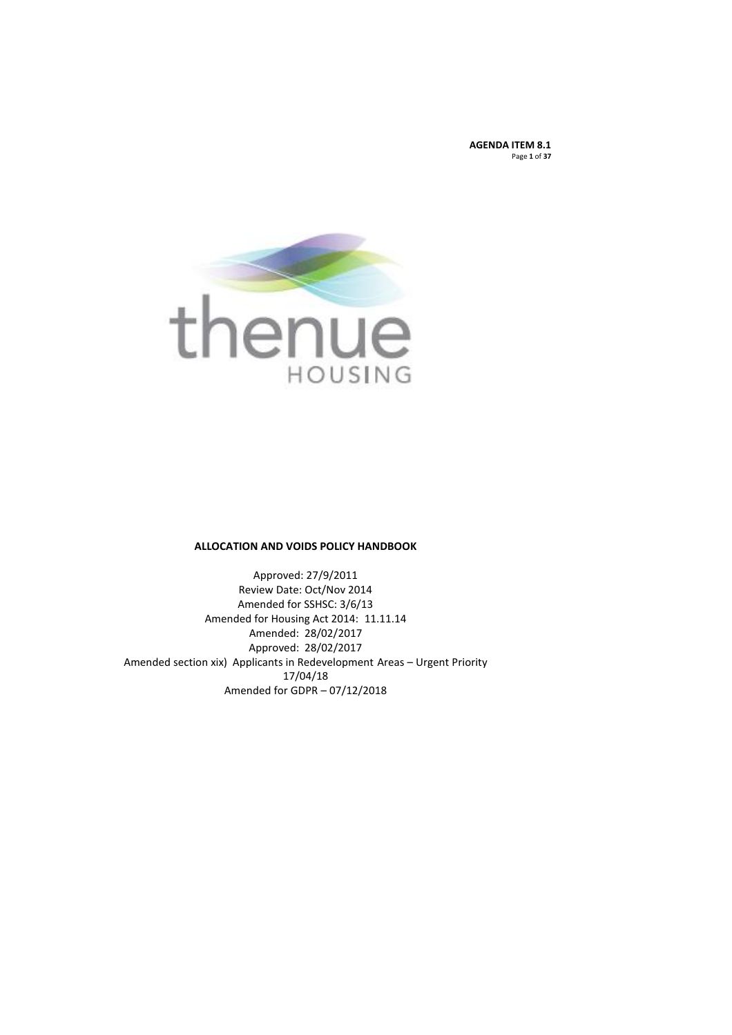**AGENDA ITEM 8.1** Page **1** of **37**



### **ALLOCATION AND VOIDS POLICY HANDBOOK**

Approved: 27/9/2011 Review Date: Oct/Nov 2014 Amended for SSHSC: 3/6/13 Amended for Housing Act 2014: 11.11.14 Amended: 28/02/2017 Approved: 28/02/2017 Amended section xix) Applicants in Redevelopment Areas – Urgent Priority 17/04/18 Amended for GDPR – 07/12/2018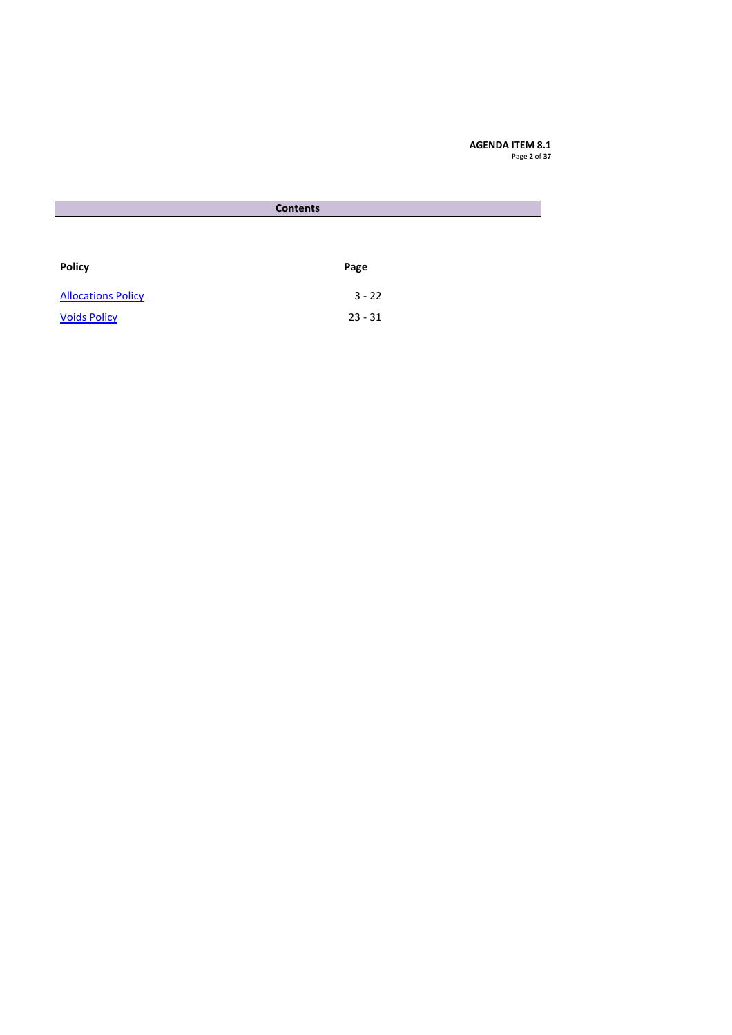**AGENDA ITEM 8.1** Page **2** of **37**

| <b>Contents</b>           |           |  |
|---------------------------|-----------|--|
|                           |           |  |
|                           |           |  |
|                           |           |  |
| <b>Policy</b>             | Page      |  |
| <b>Allocations Policy</b> | $3 - 22$  |  |
|                           |           |  |
| <b>Voids Policy</b>       | $23 - 31$ |  |
|                           |           |  |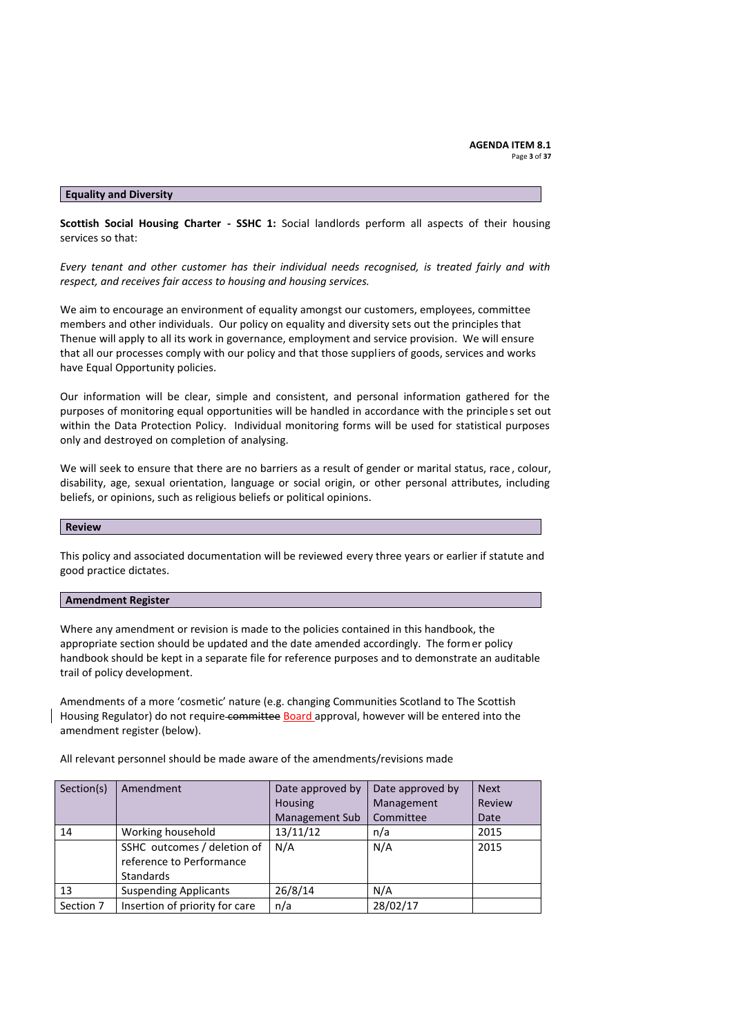### **Equality and Diversity**

**Scottish Social Housing Charter - SSHC 1:** Social landlords perform all aspects of their housing services so that:

*Every tenant and other customer has their individual needs recognised, is treated fairly and with respect, and receives fair access to housing and housing services.*

We aim to encourage an environment of equality amongst our customers, employees, committee members and other individuals. Our policy on equality and diversity sets out the principles that Thenue will apply to all its work in governance, employment and service provision. We will ensure that all our processes comply with our policy and that those suppliers of goods, services and works have Equal Opportunity policies.

Our information will be clear, simple and consistent, and personal information gathered for the purposes of monitoring equal opportunities will be handled in accordance with the principle s set out within the Data Protection Policy. Individual monitoring forms will be used for statistical purposes only and destroyed on completion of analysing.

We will seek to ensure that there are no barriers as a result of gender or marital status, race , colour, disability, age, sexual orientation, language or social origin, or other personal attributes, including beliefs, or opinions, such as religious beliefs or political opinions.

#### **Review**

This policy and associated documentation will be reviewed every three years or earlier if statute and good practice dictates.

#### **Amendment Register**

Where any amendment or revision is made to the policies contained in this handbook, the appropriate section should be updated and the date amended accordingly. The former policy handbook should be kept in a separate file for reference purposes and to demonstrate an auditable trail of policy development.

Amendments of a more 'cosmetic' nature (e.g. changing Communities Scotland to The Scottish Housing Regulator) do not require committee Board approval, however will be entered into the amendment register (below).

All relevant personnel should be made aware of the amendments/revisions made

| Section(s) | Amendment                      | Date approved by      | Date approved by | <b>Next</b> |
|------------|--------------------------------|-----------------------|------------------|-------------|
|            |                                | Housing               | Management       | Review      |
|            |                                | <b>Management Sub</b> | Committee        | Date        |
| 14         | Working household              | 13/11/12              | n/a              | 2015        |
|            | SSHC outcomes / deletion of    | N/A                   | N/A              | 2015        |
|            | reference to Performance       |                       |                  |             |
|            | <b>Standards</b>               |                       |                  |             |
| 13         | <b>Suspending Applicants</b>   | 26/8/14               | N/A              |             |
| Section 7  | Insertion of priority for care | n/a                   | 28/02/17         |             |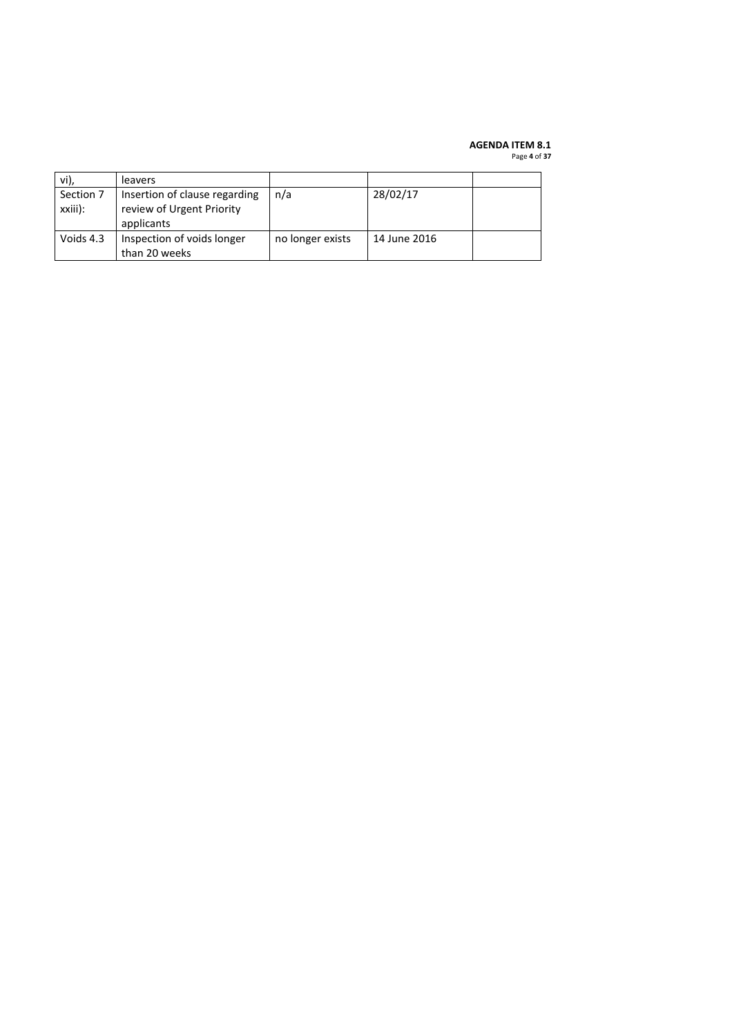### **AGENDA ITEM 8.1**

Page **4** of **37**

| vi),                 | leavers                                                                  |                  |              |  |
|----------------------|--------------------------------------------------------------------------|------------------|--------------|--|
| Section 7<br>xxiii): | Insertion of clause regarding<br>review of Urgent Priority<br>applicants | n/a              | 28/02/17     |  |
| Voids 4.3            | Inspection of voids longer<br>than 20 weeks                              | no longer exists | 14 June 2016 |  |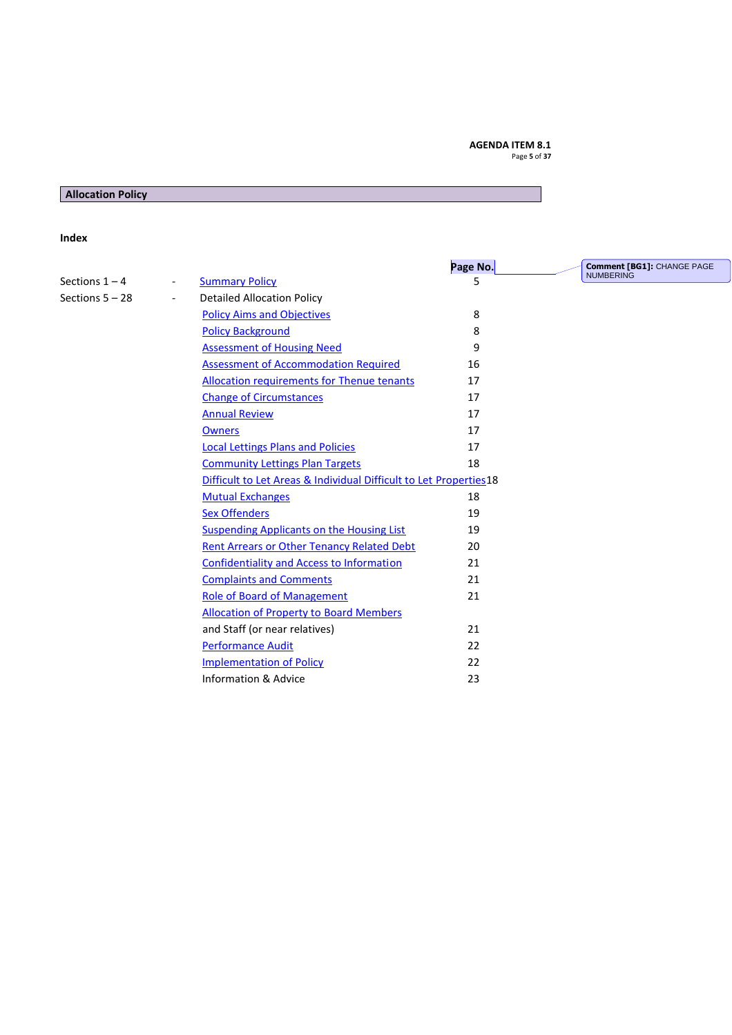# **AGENDA ITEM 8.1**

Page **5** of **37**

# <span id="page-4-0"></span>**Allocation Policy**

# **Index**

<span id="page-4-1"></span>

|                                               |                                                                   | Page No. | <b>Comment [BG1]: CHANGE PAGE</b> |
|-----------------------------------------------|-------------------------------------------------------------------|----------|-----------------------------------|
| Sections $1 - 4$<br>$\overline{\phantom{a}}$  | <b>Summary Policy</b>                                             | 5        | <b>NUMBERING</b>                  |
| Sections $5 - 28$<br>$\overline{\phantom{a}}$ | <b>Detailed Allocation Policy</b>                                 |          |                                   |
|                                               | <b>Policy Aims and Objectives</b>                                 | 8        |                                   |
|                                               | <b>Policy Background</b>                                          | 8        |                                   |
|                                               | <b>Assessment of Housing Need</b>                                 | 9        |                                   |
|                                               | <b>Assessment of Accommodation Required</b>                       | 16       |                                   |
|                                               | <b>Allocation requirements for Thenue tenants</b>                 | 17       |                                   |
|                                               | <b>Change of Circumstances</b>                                    | 17       |                                   |
|                                               | <b>Annual Review</b>                                              | 17       |                                   |
|                                               | <b>Owners</b>                                                     | 17       |                                   |
|                                               | <b>Local Lettings Plans and Policies</b>                          | 17       |                                   |
|                                               | <b>Community Lettings Plan Targets</b>                            | 18       |                                   |
|                                               | Difficult to Let Areas & Individual Difficult to Let Properties18 |          |                                   |
|                                               | <b>Mutual Exchanges</b>                                           | 18       |                                   |
|                                               | <b>Sex Offenders</b>                                              | 19       |                                   |
|                                               | Suspending Applicants on the Housing List                         | 19       |                                   |
|                                               | Rent Arrears or Other Tenancy Related Debt                        | 20       |                                   |
|                                               | Confidentiality and Access to Information                         | 21       |                                   |
|                                               | <b>Complaints and Comments</b>                                    | 21       |                                   |
|                                               | <b>Role of Board of Management</b>                                | 21       |                                   |
|                                               | <b>Allocation of Property to Board Members</b>                    |          |                                   |
|                                               | and Staff (or near relatives)                                     | 21       |                                   |
|                                               | <b>Performance Audit</b>                                          | 22       |                                   |
|                                               | <b>Implementation of Policy</b>                                   | 22       |                                   |
|                                               | Information & Advice                                              | 23       |                                   |
|                                               |                                                                   |          |                                   |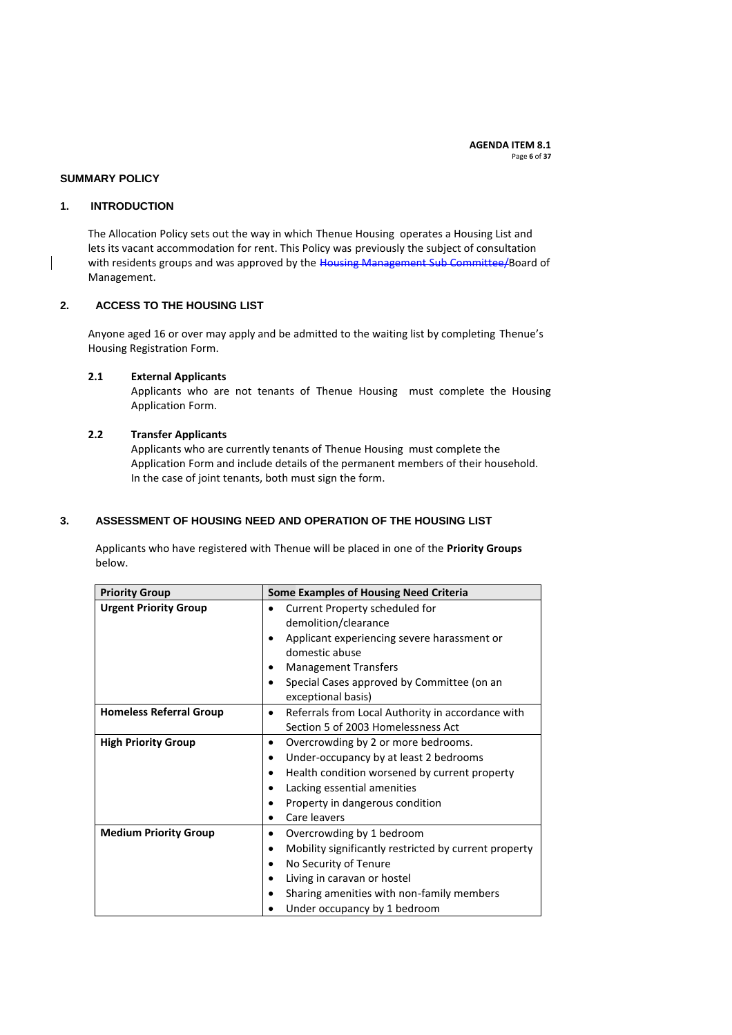### **SUMMARY POLICY**

#### **1. INTRODUCTION**

The Allocation Policy sets out the way in which Thenue Housing operates a Housing List and lets its vacant accommodation for rent. This Policy was previously the subject of consultation with residents groups and was approved by the Housing Management Sub Committee/Board of Management.

# **2. ACCESS TO THE HOUSING LIST**

Anyone aged 16 or over may apply and be admitted to the waiting list by completing Thenue's Housing Registration Form.

### **2.1 External Applicants**

Applicants who are not tenants of Thenue Housing must complete the Housing Application Form.

#### **2.2 Transfer Applicants**

Applicants who are currently tenants of Thenue Housing must complete the Application Form and include details of the permanent members of their household. In the case of joint tenants, both must sign the form.

# **3. ASSESSMENT OF HOUSING NEED AND OPERATION OF THE HOUSING LIST**

Applicants who have registered with Thenue will be placed in one of the **Priority Groups** below.

| <b>Priority Group</b>          | <b>Some Examples of Housing Need Criteria</b>              |  |  |
|--------------------------------|------------------------------------------------------------|--|--|
| <b>Urgent Priority Group</b>   | Current Property scheduled for                             |  |  |
|                                | demolition/clearance                                       |  |  |
|                                | Applicant experiencing severe harassment or                |  |  |
|                                | domestic abuse                                             |  |  |
|                                | <b>Management Transfers</b><br>٠                           |  |  |
|                                | Special Cases approved by Committee (on an                 |  |  |
|                                | exceptional basis)                                         |  |  |
| <b>Homeless Referral Group</b> | Referrals from Local Authority in accordance with<br>٠     |  |  |
|                                | Section 5 of 2003 Homelessness Act                         |  |  |
| <b>High Priority Group</b>     | Overcrowding by 2 or more bedrooms.<br>٠                   |  |  |
|                                | Under-occupancy by at least 2 bedrooms<br>٠                |  |  |
|                                | Health condition worsened by current property<br>٠         |  |  |
|                                | Lacking essential amenities<br>٠                           |  |  |
|                                | Property in dangerous condition                            |  |  |
|                                | Care leavers<br>$\bullet$                                  |  |  |
| <b>Medium Priority Group</b>   | Overcrowding by 1 bedroom<br>٠                             |  |  |
|                                | Mobility significantly restricted by current property<br>٠ |  |  |
|                                | No Security of Tenure                                      |  |  |
|                                | Living in caravan or hostel<br>٠                           |  |  |
|                                | Sharing amenities with non-family members                  |  |  |
|                                | Under occupancy by 1 bedroom                               |  |  |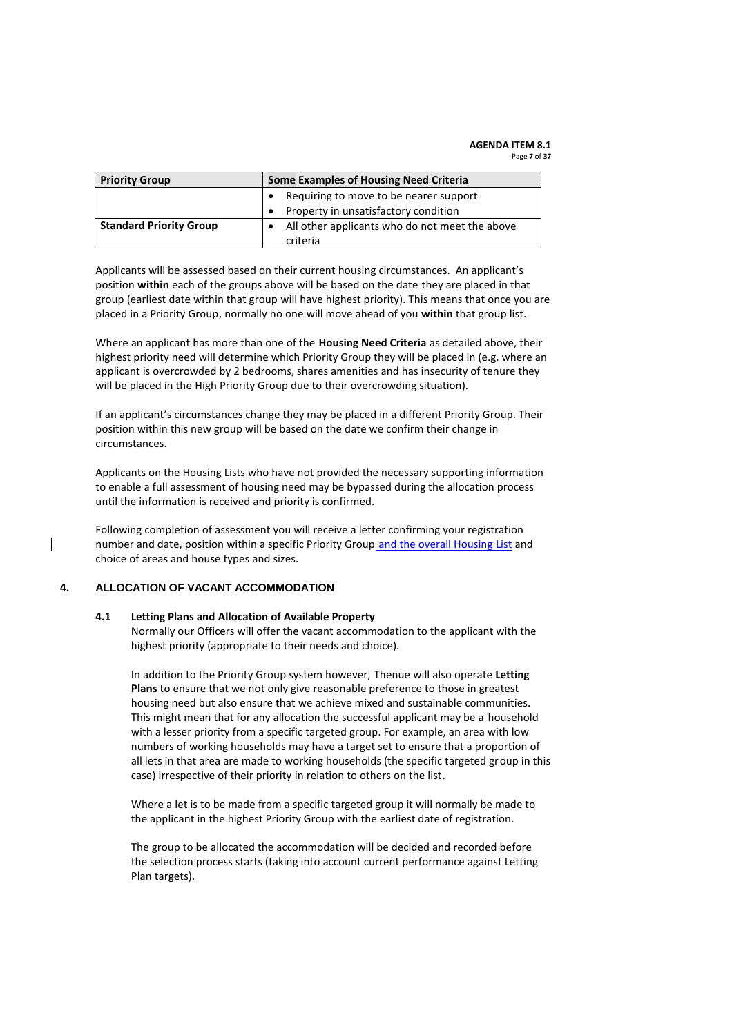**Priority Group Some Examples of Housing Need Criteria**  Requiring to move to be nearer support Property in unsatisfactory condition **Standard Priority Group . All other applicants who do not meet the above** criteria

Applicants will be assessed based on their current housing circumstances. An applicant's position **within** each of the groups above will be based on the date they are placed in that group (earliest date within that group will have highest priority). This means that once you are placed in a Priority Group, normally no one will move ahead of you **within** that group list.

Where an applicant has more than one of the **Housing Need Criteria** as detailed above, their highest priority need will determine which Priority Group they will be placed in (e.g. where an applicant is overcrowded by 2 bedrooms, shares amenities and has insecurity of tenure they will be placed in the High Priority Group due to their overcrowding situation).

If an applicant's circumstances change they may be placed in a different Priority Group. Their position within this new group will be based on the date we confirm their change in circumstances.

Applicants on the Housing Lists who have not provided the necessary supporting information to enable a full assessment of housing need may be bypassed during the allocation process until the information is received and priority is confirmed.

Following completion of assessment you will receive a letter confirming your registration number and date, position within a specific Priority Group and the overall Housing List and choice of areas and house types and sizes.

### **4. ALLOCATION OF VACANT ACCOMMODATION**

### **4.1 Letting Plans and Allocation of Available Property**

Normally our Officers will offer the vacant accommodation to the applicant with the highest priority (appropriate to their needs and choice).

In addition to the Priority Group system however, Thenue will also operate **Letting Plans** to ensure that we not only give reasonable preference to those in greatest housing need but also ensure that we achieve mixed and sustainable communities. This might mean that for any allocation the successful applicant may be a household with a lesser priority from a specific targeted group. For example, an area with low numbers of working households may have a target set to ensure that a proportion of all lets in that area are made to working households (the specific targeted group in this case) irrespective of their priority in relation to others on the list.

Where a let is to be made from a specific targeted group it will normally be made to the applicant in the highest Priority Group with the earliest date of registration.

The group to be allocated the accommodation will be decided and recorded before the selection process starts (taking into account current performance against Letting Plan targets).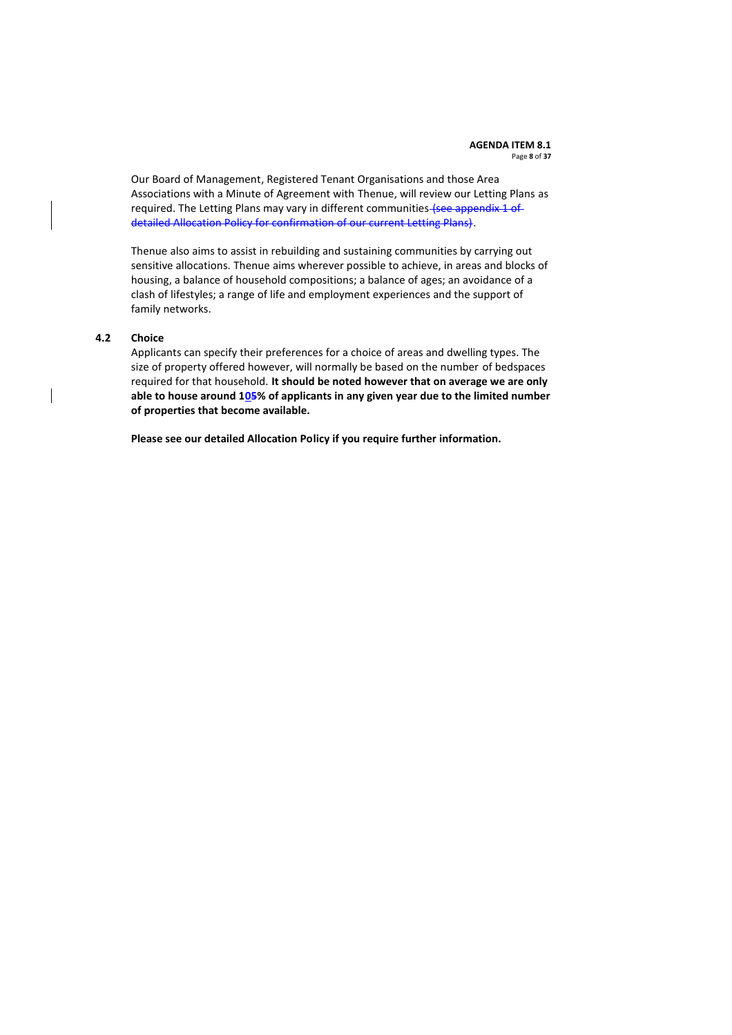#### **AGENDA ITEM 8.1** Page **8** of **37**

Our Board of Management, Registered Tenant Organisations and those Area Associations with a Minute of Agreement with Thenue, will review our Letting Plans as required. The Letting Plans may vary in different communities (see appendix 1 of detailed Allocation Policy for confirmation of our current Letting Plans).

Thenue also aims to assist in rebuilding and sustaining communities by carrying out sensitive allocations. Thenue aims wherever possible to achieve, in areas and blocks of housing, a balance of household compositions; a balance of ages; an avoidance of a clash of lifestyles; a range of life and employment experiences and the support of family networks.

#### **4.2 Choice**

Applicants can specify their preferences for a choice of areas and dwelling types. The size of property offered however, will normally be based on the number of bedspaces required for that household. **It should be noted however that on average we are only able to house around 105% of applicants in any given year due to the limited number of properties that become available.**

**Please see our detailed Allocation Policy if you require further information.**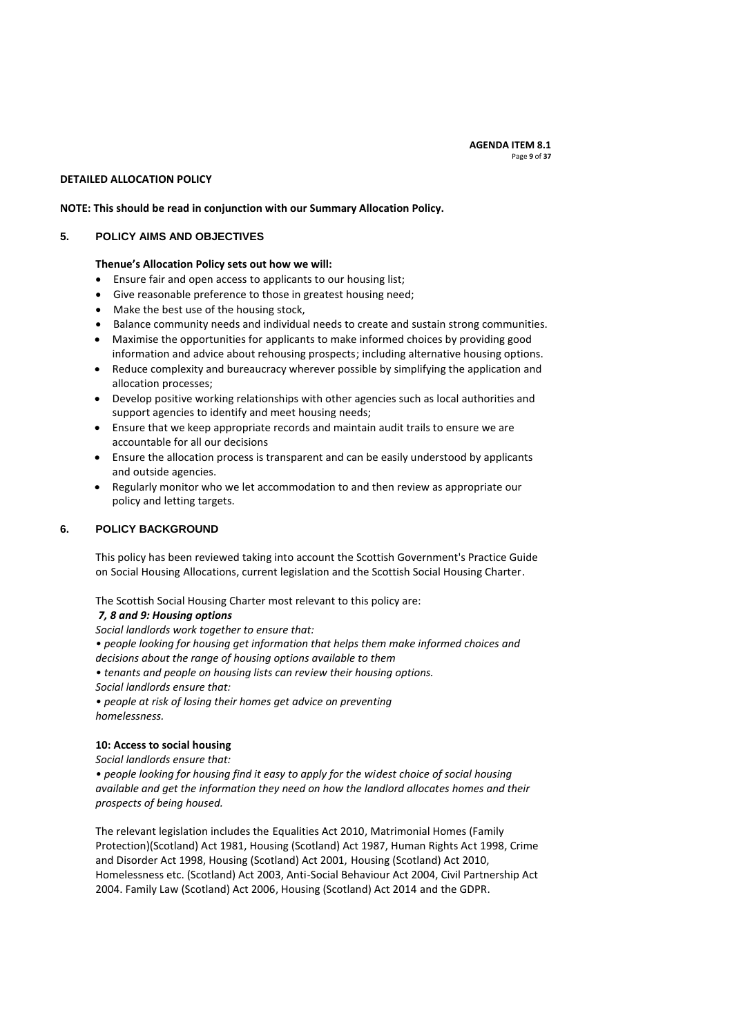#### **DETAILED ALLOCATION POLICY**

#### **NOTE: This should be read in conjunction with our Summary Allocation Policy.**

#### <span id="page-8-0"></span>**5. POLICY AIMS AND OBJECTIVES**

#### **Thenue's Allocation Policy sets out how we will:**

- Ensure fair and open access to applicants to our housing list;
- Give reasonable preference to those in greatest housing need;
- Make the best use of the housing stock,
- Balance community needs and individual needs to create and sustain strong communities.
- Maximise the opportunities for applicants to make informed choices by providing good information and advice about rehousing prospects; including alternative housing options.
- Reduce complexity and bureaucracy wherever possible by simplifying the application and allocation processes;
- Develop positive working relationships with other agencies such as local authorities and support agencies to identify and meet housing needs;
- Ensure that we keep appropriate records and maintain audit trails to ensure we are accountable for all our decisions
- Ensure the allocation process is transparent and can be easily understood by applicants and outside agencies.
- Regularly monitor who we let accommodation to and then review as appropriate our policy and letting targets.

### <span id="page-8-1"></span>**6. POLICY BACKGROUND**

This policy has been reviewed taking into account the Scottish Government's Practice Guide on Social Housing Allocations, current legislation and the Scottish Social Housing Charter.

The Scottish Social Housing Charter most relevant to this policy are:

#### *7, 8 and 9: Housing options*

*Social landlords work together to ensure that:*

*• people looking for housing get information that helps them make informed choices and* 

*decisions about the range of housing options available to them*

*• tenants and people on housing lists can review their housing options.*

*Social landlords ensure that:*

*• people at risk of losing their homes get advice on preventing homelessness.*

### **10: Access to social housing**

*Social landlords ensure that:*

*• people looking for housing find it easy to apply for the widest choice of social housing available and get the information they need on how the landlord allocates homes and their prospects of being housed.*

The relevant legislation includes the Equalities Act 2010, Matrimonial Homes (Family Protection)(Scotland) Act 1981, Housing (Scotland) Act 1987, Human Rights Act 1998, Crime and Disorder Act 1998, Housing (Scotland) Act 2001, Housing (Scotland) Act 2010, Homelessness etc. (Scotland) Act 2003, Anti-Social Behaviour Act 2004, Civil Partnership Act 2004. Family Law (Scotland) Act 2006, Housing (Scotland) Act 2014 and the GDPR.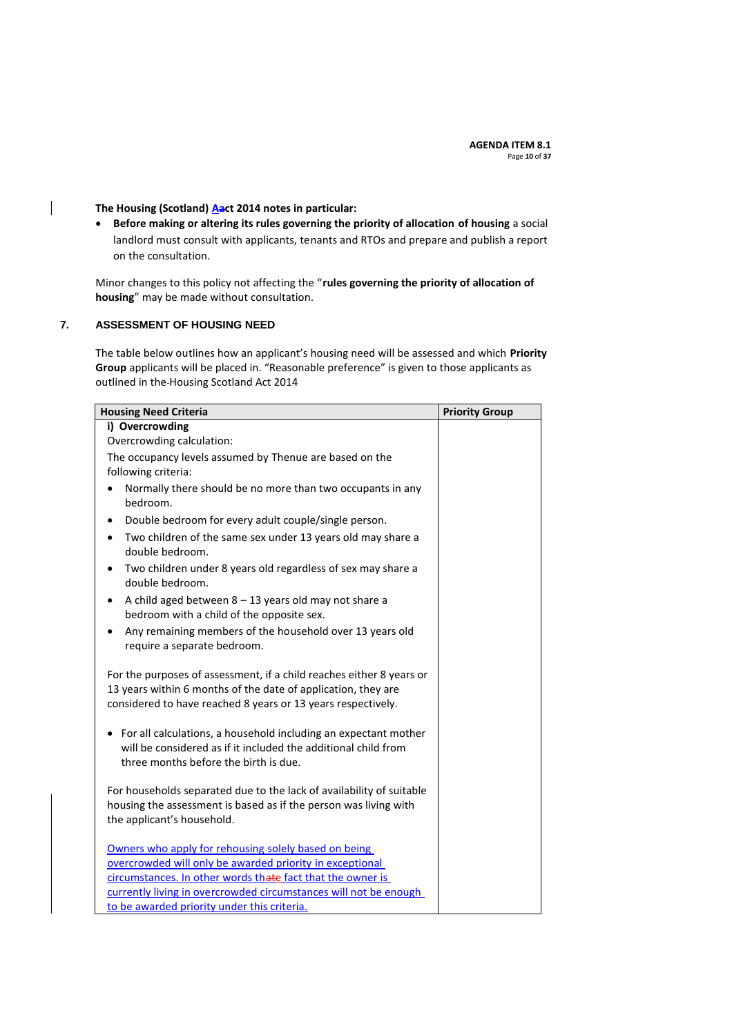# The Housing (Scotland) **Aact 2014** notes in particular:

 **Before making or altering its rules governing the priority of allocation of housing** a social landlord must consult with applicants, tenants and RTOs and prepare and publish a report on the consultation.

Minor changes to this policy not affecting the "**rules governing the priority of allocation of housing**" may be made without consultation.

### <span id="page-9-0"></span>**7. ASSESSMENT OF HOUSING NEED**

 $\overline{\phantom{a}}$ 

The table below outlines how an applicant's housing need will be assessed and which **Priority Group** applicants will be placed in. "Reasonable preference" is given to those applicants as outlined in the Housing Scotland Act 2014

| <b>Housing Need Criteria</b>                                                                                                                                                 | <b>Priority Group</b> |
|------------------------------------------------------------------------------------------------------------------------------------------------------------------------------|-----------------------|
| i) Overcrowding                                                                                                                                                              |                       |
| Overcrowding calculation:                                                                                                                                                    |                       |
| The occupancy levels assumed by Thenue are based on the                                                                                                                      |                       |
| following criteria:                                                                                                                                                          |                       |
| Normally there should be no more than two occupants in any<br>٠<br>bedroom.                                                                                                  |                       |
| Double bedroom for every adult couple/single person.<br>$\bullet$                                                                                                            |                       |
| Two children of the same sex under 13 years old may share a<br>$\bullet$<br>double bedroom.                                                                                  |                       |
| Two children under 8 years old regardless of sex may share a<br>٠<br>double bedroom.                                                                                         |                       |
| A child aged between $8 - 13$ years old may not share a<br>$\bullet$<br>bedroom with a child of the opposite sex.                                                            |                       |
| Any remaining members of the household over 13 years old<br>$\bullet$<br>require a separate bedroom.                                                                         |                       |
| For the purposes of assessment, if a child reaches either 8 years or<br>13 years within 6 months of the date of application, they are                                        |                       |
| considered to have reached 8 years or 13 years respectively.                                                                                                                 |                       |
| • For all calculations, a household including an expectant mother<br>will be considered as if it included the additional child from<br>three months before the birth is due. |                       |
| For households separated due to the lack of availability of suitable<br>housing the assessment is based as if the person was living with<br>the applicant's household.       |                       |
| Owners who apply for rehousing solely based on being                                                                                                                         |                       |
| overcrowded will only be awarded priority in exceptional                                                                                                                     |                       |
| circumstances. In other words thate fact that the owner is                                                                                                                   |                       |
| currently living in overcrowded circumstances will not be enough                                                                                                             |                       |
| to be awarded priority under this criteria.                                                                                                                                  |                       |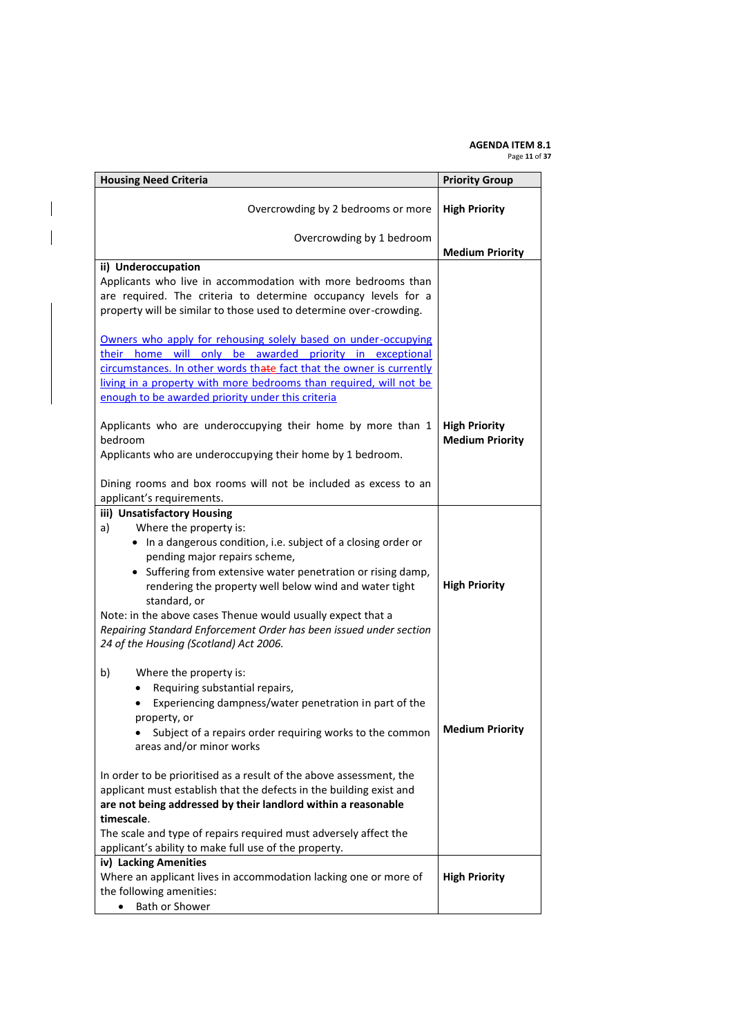#### **AGENDA ITEM 8.1** Page **11** of **37**

| <b>Housing Need Criteria</b>                                                                                                                                                                                                                                                                                                                                                                                             | <b>Priority Group</b>                          |
|--------------------------------------------------------------------------------------------------------------------------------------------------------------------------------------------------------------------------------------------------------------------------------------------------------------------------------------------------------------------------------------------------------------------------|------------------------------------------------|
| Overcrowding by 2 bedrooms or more                                                                                                                                                                                                                                                                                                                                                                                       | <b>High Priority</b>                           |
| Overcrowding by 1 bedroom                                                                                                                                                                                                                                                                                                                                                                                                | <b>Medium Priority</b>                         |
| ii) Underoccupation<br>Applicants who live in accommodation with more bedrooms than<br>are required. The criteria to determine occupancy levels for a<br>property will be similar to those used to determine over-crowding.<br>Owners who apply for rehousing solely based on under-occupying                                                                                                                            |                                                |
| their home will only be awarded priority in exceptional<br>circumstances. In other words thate fact that the owner is currently<br>living in a property with more bedrooms than required, will not be<br>enough to be awarded priority under this criteria                                                                                                                                                               |                                                |
| Applicants who are underoccupying their home by more than 1<br>bedroom<br>Applicants who are underoccupying their home by 1 bedroom.<br>Dining rooms and box rooms will not be included as excess to an<br>applicant's requirements.                                                                                                                                                                                     | <b>High Priority</b><br><b>Medium Priority</b> |
| iii) Unsatisfactory Housing<br>Where the property is:<br>a)                                                                                                                                                                                                                                                                                                                                                              |                                                |
| • In a dangerous condition, i.e. subject of a closing order or<br>pending major repairs scheme,<br>• Suffering from extensive water penetration or rising damp,<br>rendering the property well below wind and water tight<br>standard, or<br>Note: in the above cases Thenue would usually expect that a<br>Repairing Standard Enforcement Order has been issued under section<br>24 of the Housing (Scotland) Act 2006. | <b>High Priority</b>                           |
| b)<br>Where the property is:<br>Requiring substantial repairs,<br>Experiencing dampness/water penetration in part of the<br>property, or<br>Subject of a repairs order requiring works to the common                                                                                                                                                                                                                     | <b>Medium Priority</b>                         |
| areas and/or minor works<br>In order to be prioritised as a result of the above assessment, the<br>applicant must establish that the defects in the building exist and<br>are not being addressed by their landlord within a reasonable                                                                                                                                                                                  |                                                |
| timescale.<br>The scale and type of repairs required must adversely affect the<br>applicant's ability to make full use of the property.                                                                                                                                                                                                                                                                                  |                                                |
| iv) Lacking Amenities<br>Where an applicant lives in accommodation lacking one or more of<br>the following amenities:<br>Bath or Shower                                                                                                                                                                                                                                                                                  | <b>High Priority</b>                           |

 $\overline{\phantom{a}}$ 

 $\overline{\phantom{a}}$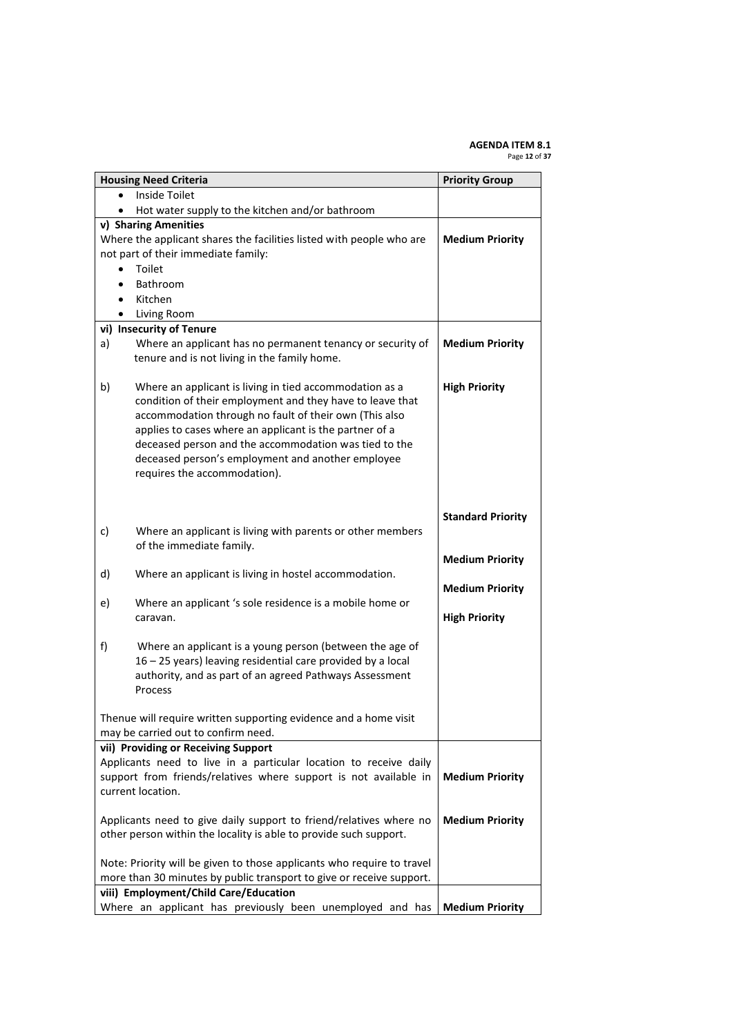#### **AGENDA ITEM 8.1** Page **12** of **37**

|           | <b>Housing Need Criteria</b>                                           | <b>Priority Group</b>    |
|-----------|------------------------------------------------------------------------|--------------------------|
| $\bullet$ | Inside Toilet                                                          |                          |
| $\bullet$ | Hot water supply to the kitchen and/or bathroom                        |                          |
|           | v) Sharing Amenities                                                   |                          |
|           | Where the applicant shares the facilities listed with people who are   | <b>Medium Priority</b>   |
|           | not part of their immediate family:                                    |                          |
|           | Toilet                                                                 |                          |
|           | Bathroom                                                               |                          |
|           | Kitchen<br>Living Room                                                 |                          |
| $\bullet$ | vi) Insecurity of Tenure                                               |                          |
| a)        | Where an applicant has no permanent tenancy or security of             | <b>Medium Priority</b>   |
|           | tenure and is not living in the family home.                           |                          |
|           |                                                                        |                          |
| b)        | Where an applicant is living in tied accommodation as a                | <b>High Priority</b>     |
|           | condition of their employment and they have to leave that              |                          |
|           | accommodation through no fault of their own (This also                 |                          |
|           | applies to cases where an applicant is the partner of a                |                          |
|           | deceased person and the accommodation was tied to the                  |                          |
|           | deceased person's employment and another employee                      |                          |
|           | requires the accommodation).                                           |                          |
|           |                                                                        |                          |
|           |                                                                        |                          |
|           |                                                                        | <b>Standard Priority</b> |
| c)        | Where an applicant is living with parents or other members             |                          |
|           | of the immediate family.                                               |                          |
| d)        | Where an applicant is living in hostel accommodation.                  | <b>Medium Priority</b>   |
|           |                                                                        | <b>Medium Priority</b>   |
| e)        | Where an applicant 's sole residence is a mobile home or               |                          |
|           | caravan.                                                               | <b>High Priority</b>     |
|           |                                                                        |                          |
| f)        | Where an applicant is a young person (between the age of               |                          |
|           | 16 - 25 years) leaving residential care provided by a local            |                          |
|           | authority, and as part of an agreed Pathways Assessment                |                          |
|           | Process                                                                |                          |
|           |                                                                        |                          |
|           | Thenue will require written supporting evidence and a home visit       |                          |
|           | may be carried out to confirm need.                                    |                          |
|           | vii) Providing or Receiving Support                                    |                          |
|           | Applicants need to live in a particular location to receive daily      |                          |
|           | support from friends/relatives where support is not available in       | <b>Medium Priority</b>   |
|           | current location.                                                      |                          |
|           | Applicants need to give daily support to friend/relatives where no     | <b>Medium Priority</b>   |
|           | other person within the locality is able to provide such support.      |                          |
|           |                                                                        |                          |
|           | Note: Priority will be given to those applicants who require to travel |                          |
|           | more than 30 minutes by public transport to give or receive support.   |                          |
|           | viii) Employment/Child Care/Education                                  |                          |
|           | Where an applicant has previously been unemployed and has              | <b>Medium Priority</b>   |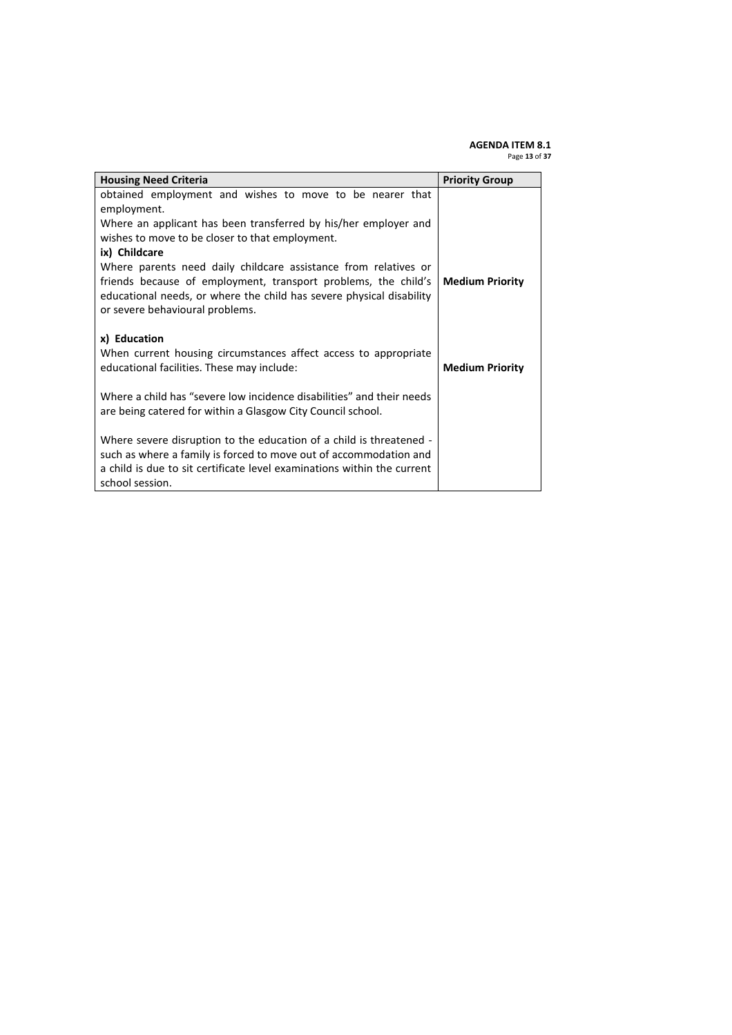#### **AGENDA ITEM 8.1** Page **13** of **37**

| <b>Housing Need Criteria</b>                                                                                                                                                                                                                 | <b>Priority Group</b>  |
|----------------------------------------------------------------------------------------------------------------------------------------------------------------------------------------------------------------------------------------------|------------------------|
| obtained employment and wishes to move to be nearer that<br>employment.<br>Where an applicant has been transferred by his/her employer and                                                                                                   |                        |
| wishes to move to be closer to that employment.<br>ix) Childcare                                                                                                                                                                             |                        |
| Where parents need daily childcare assistance from relatives or<br>friends because of employment, transport problems, the child's<br>educational needs, or where the child has severe physical disability<br>or severe behavioural problems. | <b>Medium Priority</b> |
| x) Education<br>When current housing circumstances affect access to appropriate<br>educational facilities. These may include:                                                                                                                | <b>Medium Priority</b> |
| Where a child has "severe low incidence disabilities" and their needs<br>are being catered for within a Glasgow City Council school.                                                                                                         |                        |
| Where severe disruption to the education of a child is threatened -<br>such as where a family is forced to move out of accommodation and<br>a child is due to sit certificate level examinations within the current<br>school session.       |                        |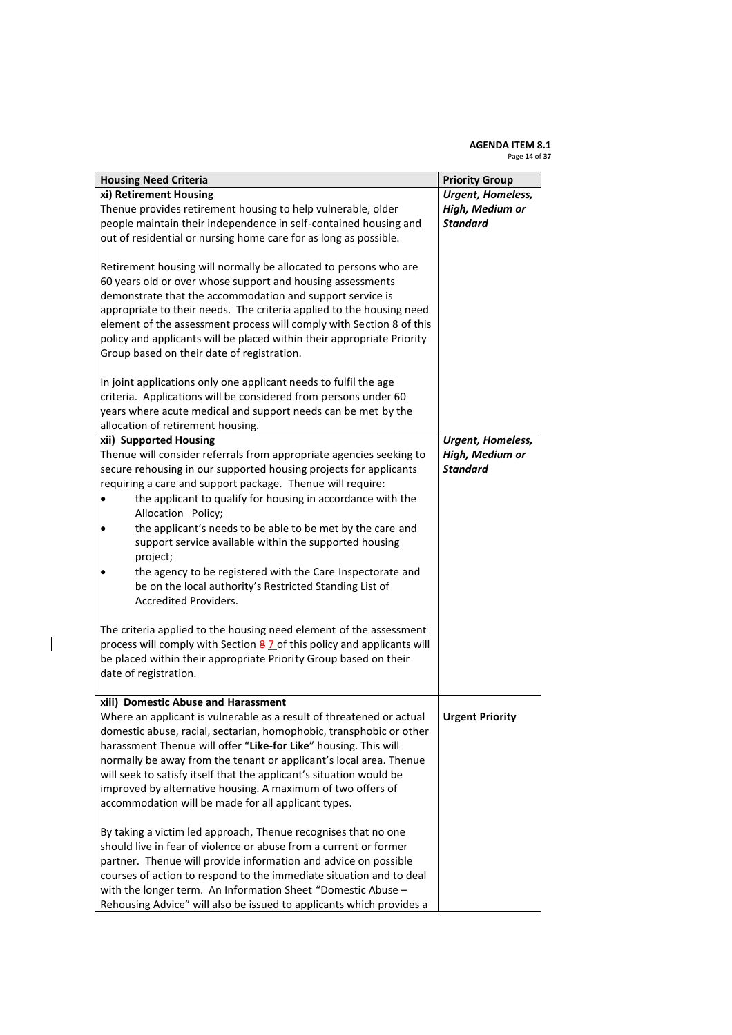#### **AGENDA ITEM 8.1** Page **14** of **37**

| <b>Housing Need Criteria</b>                                                                                                                                                                         | <b>Priority Group</b>    |
|------------------------------------------------------------------------------------------------------------------------------------------------------------------------------------------------------|--------------------------|
| xi) Retirement Housing                                                                                                                                                                               | Urgent, Homeless,        |
| Thenue provides retirement housing to help vulnerable, older                                                                                                                                         | High, Medium or          |
| people maintain their independence in self-contained housing and                                                                                                                                     | <b>Standard</b>          |
| out of residential or nursing home care for as long as possible.                                                                                                                                     |                          |
| Retirement housing will normally be allocated to persons who are<br>60 years old or over whose support and housing assessments                                                                       |                          |
| demonstrate that the accommodation and support service is                                                                                                                                            |                          |
| appropriate to their needs. The criteria applied to the housing need                                                                                                                                 |                          |
| element of the assessment process will comply with Section 8 of this                                                                                                                                 |                          |
| policy and applicants will be placed within their appropriate Priority                                                                                                                               |                          |
| Group based on their date of registration.                                                                                                                                                           |                          |
| In joint applications only one applicant needs to fulfil the age<br>criteria. Applications will be considered from persons under 60<br>years where acute medical and support needs can be met by the |                          |
| allocation of retirement housing.                                                                                                                                                                    |                          |
| xii) Supported Housing                                                                                                                                                                               | <b>Urgent, Homeless,</b> |
| Thenue will consider referrals from appropriate agencies seeking to                                                                                                                                  | High, Medium or          |
| secure rehousing in our supported housing projects for applicants                                                                                                                                    | <b>Standard</b>          |
| requiring a care and support package. Thenue will require:                                                                                                                                           |                          |
| the applicant to qualify for housing in accordance with the<br>Allocation Policy;                                                                                                                    |                          |
| the applicant's needs to be able to be met by the care and<br>support service available within the supported housing<br>project;                                                                     |                          |
| the agency to be registered with the Care Inspectorate and<br>be on the local authority's Restricted Standing List of<br><b>Accredited Providers.</b>                                                |                          |
| The criteria applied to the housing need element of the assessment                                                                                                                                   |                          |
| process will comply with Section 8 7 of this policy and applicants will                                                                                                                              |                          |
|                                                                                                                                                                                                      |                          |
| be placed within their appropriate Priority Group based on their                                                                                                                                     |                          |
| date of registration.                                                                                                                                                                                |                          |
| xiii) Domestic Abuse and Harassment                                                                                                                                                                  |                          |
| Where an applicant is vulnerable as a result of threatened or actual                                                                                                                                 | <b>Urgent Priority</b>   |
| domestic abuse, racial, sectarian, homophobic, transphobic or other                                                                                                                                  |                          |
| harassment Thenue will offer "Like-for Like" housing. This will                                                                                                                                      |                          |
| normally be away from the tenant or applicant's local area. Thenue                                                                                                                                   |                          |
|                                                                                                                                                                                                      |                          |
| will seek to satisfy itself that the applicant's situation would be                                                                                                                                  |                          |
| improved by alternative housing. A maximum of two offers of                                                                                                                                          |                          |
| accommodation will be made for all applicant types.                                                                                                                                                  |                          |
| By taking a victim led approach, Thenue recognises that no one                                                                                                                                       |                          |
| should live in fear of violence or abuse from a current or former                                                                                                                                    |                          |
| partner. Thenue will provide information and advice on possible                                                                                                                                      |                          |
| courses of action to respond to the immediate situation and to deal                                                                                                                                  |                          |
| with the longer term. An Information Sheet "Domestic Abuse -                                                                                                                                         |                          |
| Rehousing Advice" will also be issued to applicants which provides a                                                                                                                                 |                          |

 $\overline{\phantom{a}}$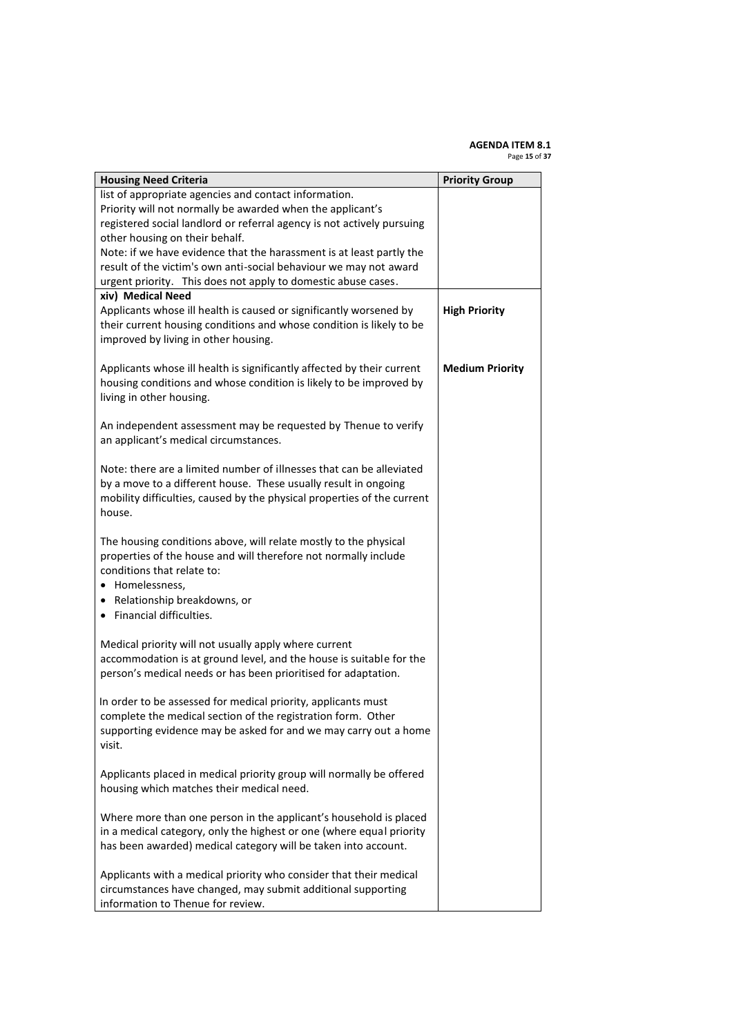#### **AGENDA ITEM 8.1** Page **15** of **37**

| <b>Housing Need Criteria</b>                                            | <b>Priority Group</b>  |
|-------------------------------------------------------------------------|------------------------|
| list of appropriate agencies and contact information.                   |                        |
| Priority will not normally be awarded when the applicant's              |                        |
| registered social landlord or referral agency is not actively pursuing  |                        |
| other housing on their behalf.                                          |                        |
| Note: if we have evidence that the harassment is at least partly the    |                        |
| result of the victim's own anti-social behaviour we may not award       |                        |
| urgent priority. This does not apply to domestic abuse cases.           |                        |
| xiv) Medical Need                                                       |                        |
| Applicants whose ill health is caused or significantly worsened by      | <b>High Priority</b>   |
| their current housing conditions and whose condition is likely to be    |                        |
| improved by living in other housing.                                    |                        |
|                                                                         |                        |
| Applicants whose ill health is significantly affected by their current  | <b>Medium Priority</b> |
| housing conditions and whose condition is likely to be improved by      |                        |
| living in other housing.                                                |                        |
|                                                                         |                        |
| An independent assessment may be requested by Thenue to verify          |                        |
| an applicant's medical circumstances.                                   |                        |
|                                                                         |                        |
| Note: there are a limited number of illnesses that can be alleviated    |                        |
| by a move to a different house. These usually result in ongoing         |                        |
| mobility difficulties, caused by the physical properties of the current |                        |
| house.                                                                  |                        |
|                                                                         |                        |
| The housing conditions above, will relate mostly to the physical        |                        |
| properties of the house and will therefore not normally include         |                        |
| conditions that relate to:                                              |                        |
| Homelessness,                                                           |                        |
| • Relationship breakdowns, or                                           |                        |
| • Financial difficulties.                                               |                        |
|                                                                         |                        |
| Medical priority will not usually apply where current                   |                        |
| accommodation is at ground level, and the house is suitable for the     |                        |
| person's medical needs or has been prioritised for adaptation.          |                        |
|                                                                         |                        |
| In order to be assessed for medical priority, applicants must           |                        |
| complete the medical section of the registration form. Other            |                        |
| supporting evidence may be asked for and we may carry out a home        |                        |
| visit.                                                                  |                        |
|                                                                         |                        |
| Applicants placed in medical priority group will normally be offered    |                        |
| housing which matches their medical need.                               |                        |
|                                                                         |                        |
| Where more than one person in the applicant's household is placed       |                        |
| in a medical category, only the highest or one (where equal priority    |                        |
| has been awarded) medical category will be taken into account.          |                        |
|                                                                         |                        |
| Applicants with a medical priority who consider that their medical      |                        |
| circumstances have changed, may submit additional supporting            |                        |
| information to Thenue for review.                                       |                        |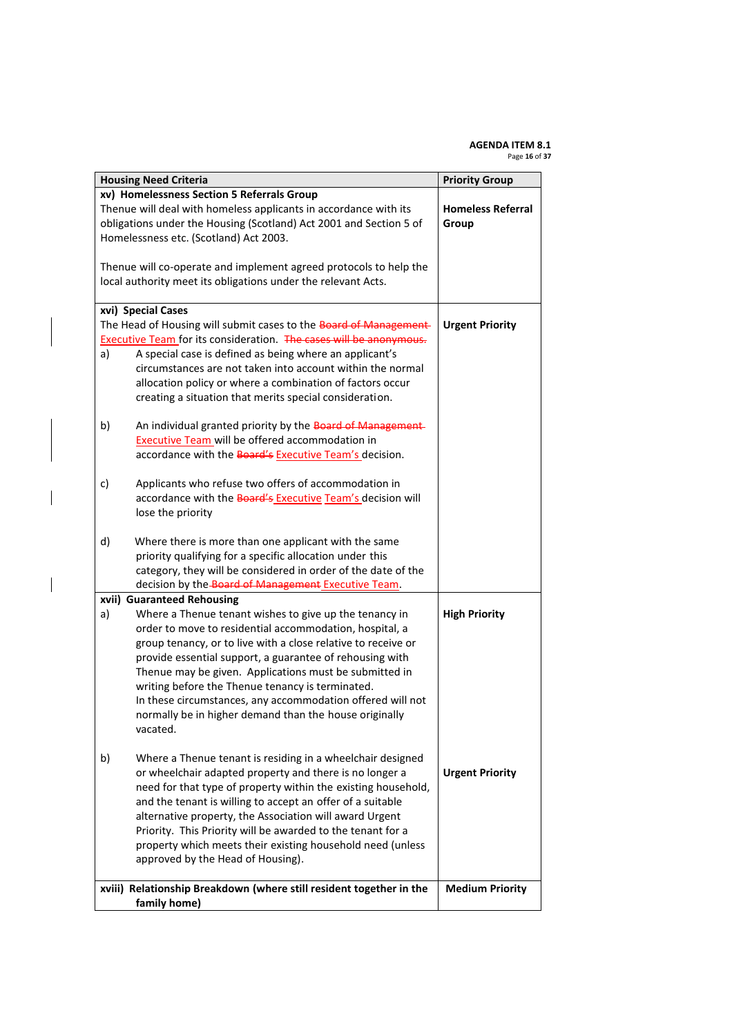#### **AGENDA ITEM 8.1** Page **16** of **37**

|    | <b>Housing Need Criteria</b>                                        | <b>Priority Group</b>    |
|----|---------------------------------------------------------------------|--------------------------|
|    | xv) Homelessness Section 5 Referrals Group                          |                          |
|    | Thenue will deal with homeless applicants in accordance with its    | <b>Homeless Referral</b> |
|    | obligations under the Housing (Scotland) Act 2001 and Section 5 of  | Group                    |
|    | Homelessness etc. (Scotland) Act 2003.                              |                          |
|    |                                                                     |                          |
|    | Thenue will co-operate and implement agreed protocols to help the   |                          |
|    | local authority meet its obligations under the relevant Acts.       |                          |
|    | xvi) Special Cases                                                  |                          |
|    | The Head of Housing will submit cases to the Board of Management-   | <b>Urgent Priority</b>   |
|    | Executive Team for its consideration. The cases will be anonymous.  |                          |
| a) | A special case is defined as being where an applicant's             |                          |
|    | circumstances are not taken into account within the normal          |                          |
|    | allocation policy or where a combination of factors occur           |                          |
|    | creating a situation that merits special consideration.             |                          |
|    |                                                                     |                          |
| b) | An individual granted priority by the Board of Management-          |                          |
|    | Executive Team will be offered accommodation in                     |                          |
|    | accordance with the Board's Executive Team's decision.              |                          |
| c) | Applicants who refuse two offers of accommodation in                |                          |
|    | accordance with the Board's Executive Team's decision will          |                          |
|    | lose the priority                                                   |                          |
|    |                                                                     |                          |
| d) | Where there is more than one applicant with the same                |                          |
|    | priority qualifying for a specific allocation under this            |                          |
|    | category, they will be considered in order of the date of the       |                          |
|    | decision by the Board of Management Executive Team.                 |                          |
|    | xvii) Guaranteed Rehousing                                          |                          |
| a) | Where a Thenue tenant wishes to give up the tenancy in              | <b>High Priority</b>     |
|    | order to move to residential accommodation, hospital, a             |                          |
|    | group tenancy, or to live with a close relative to receive or       |                          |
|    | provide essential support, a guarantee of rehousing with            |                          |
|    | Thenue may be given. Applications must be submitted in              |                          |
|    | writing before the Thenue tenancy is terminated.                    |                          |
|    | In these circumstances, any accommodation offered will not          |                          |
|    | normally be in higher demand than the house originally              |                          |
|    | vacated.                                                            |                          |
|    | Where a Thenue tenant is residing in a wheelchair designed          |                          |
| b) | or wheelchair adapted property and there is no longer a             | <b>Urgent Priority</b>   |
|    | need for that type of property within the existing household,       |                          |
|    | and the tenant is willing to accept an offer of a suitable          |                          |
|    |                                                                     |                          |
|    | alternative property, the Association will award Urgent             |                          |
|    | Priority. This Priority will be awarded to the tenant for a         |                          |
|    | property which meets their existing household need (unless          |                          |
|    | approved by the Head of Housing).                                   |                          |
|    | xviii) Relationship Breakdown (where still resident together in the | <b>Medium Priority</b>   |
|    | family home)                                                        |                          |

 $\overline{\phantom{a}}$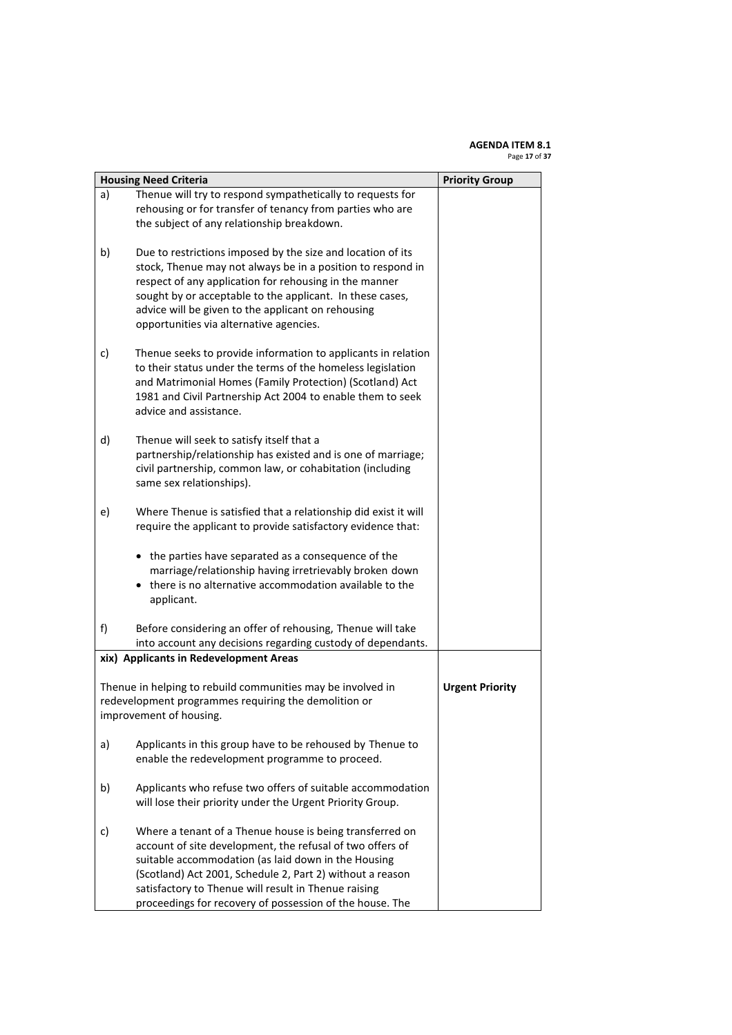#### **AGENDA ITEM 8.1** Page **17** of **37**

|    | <b>Housing Need Criteria</b><br><b>Priority Group</b>                                                                                                                                                                                                                                                                                                         |  |  |
|----|---------------------------------------------------------------------------------------------------------------------------------------------------------------------------------------------------------------------------------------------------------------------------------------------------------------------------------------------------------------|--|--|
| a) | Thenue will try to respond sympathetically to requests for<br>rehousing or for transfer of tenancy from parties who are<br>the subject of any relationship breakdown.                                                                                                                                                                                         |  |  |
| b) | Due to restrictions imposed by the size and location of its<br>stock, Thenue may not always be in a position to respond in<br>respect of any application for rehousing in the manner<br>sought by or acceptable to the applicant. In these cases,<br>advice will be given to the applicant on rehousing<br>opportunities via alternative agencies.            |  |  |
| c) | Thenue seeks to provide information to applicants in relation<br>to their status under the terms of the homeless legislation<br>and Matrimonial Homes (Family Protection) (Scotland) Act<br>1981 and Civil Partnership Act 2004 to enable them to seek<br>advice and assistance.                                                                              |  |  |
| d) | Thenue will seek to satisfy itself that a<br>partnership/relationship has existed and is one of marriage;<br>civil partnership, common law, or cohabitation (including<br>same sex relationships).                                                                                                                                                            |  |  |
| e) | Where Thenue is satisfied that a relationship did exist it will<br>require the applicant to provide satisfactory evidence that:                                                                                                                                                                                                                               |  |  |
|    | • the parties have separated as a consequence of the<br>marriage/relationship having irretrievably broken down<br>$\bullet$ there is no alternative accommodation available to the<br>applicant.                                                                                                                                                              |  |  |
| f) | Before considering an offer of rehousing, Thenue will take<br>into account any decisions regarding custody of dependants.                                                                                                                                                                                                                                     |  |  |
|    | xix) Applicants in Redevelopment Areas                                                                                                                                                                                                                                                                                                                        |  |  |
|    | Thenue in helping to rebuild communities may be involved in<br><b>Urgent Priority</b><br>redevelopment programmes requiring the demolition or<br>improvement of housing.                                                                                                                                                                                      |  |  |
| a) | Applicants in this group have to be rehoused by Thenue to<br>enable the redevelopment programme to proceed.                                                                                                                                                                                                                                                   |  |  |
| b) | Applicants who refuse two offers of suitable accommodation<br>will lose their priority under the Urgent Priority Group.                                                                                                                                                                                                                                       |  |  |
| c) | Where a tenant of a Thenue house is being transferred on<br>account of site development, the refusal of two offers of<br>suitable accommodation (as laid down in the Housing<br>(Scotland) Act 2001, Schedule 2, Part 2) without a reason<br>satisfactory to Thenue will result in Thenue raising<br>proceedings for recovery of possession of the house. The |  |  |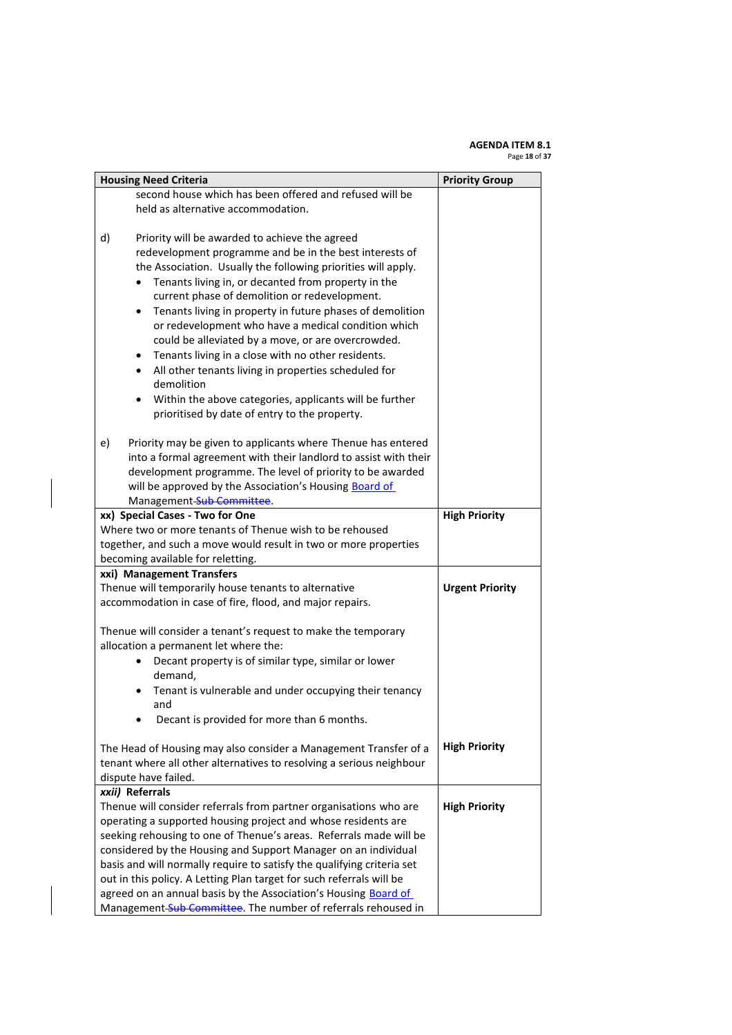#### **AGENDA ITEM 8.1** Page **18** of **37**

| <b>Housing Need Criteria</b><br><b>Priority Group</b>                                                                                                                                                                                                                                                                                                                                                                     |                        |  |
|---------------------------------------------------------------------------------------------------------------------------------------------------------------------------------------------------------------------------------------------------------------------------------------------------------------------------------------------------------------------------------------------------------------------------|------------------------|--|
| second house which has been offered and refused will be                                                                                                                                                                                                                                                                                                                                                                   |                        |  |
| held as alternative accommodation.                                                                                                                                                                                                                                                                                                                                                                                        |                        |  |
|                                                                                                                                                                                                                                                                                                                                                                                                                           |                        |  |
| d)<br>Priority will be awarded to achieve the agreed<br>redevelopment programme and be in the best interests of<br>the Association. Usually the following priorities will apply.<br>Tenants living in, or decanted from property in the<br>current phase of demolition or redevelopment.<br>Tenants living in property in future phases of demolition<br>$\bullet$<br>or redevelopment who have a medical condition which |                        |  |
| could be alleviated by a move, or are overcrowded.                                                                                                                                                                                                                                                                                                                                                                        |                        |  |
| Tenants living in a close with no other residents.<br>٠                                                                                                                                                                                                                                                                                                                                                                   |                        |  |
| All other tenants living in properties scheduled for<br>$\bullet$<br>demolition                                                                                                                                                                                                                                                                                                                                           |                        |  |
| Within the above categories, applicants will be further<br>$\bullet$                                                                                                                                                                                                                                                                                                                                                      |                        |  |
| prioritised by date of entry to the property.                                                                                                                                                                                                                                                                                                                                                                             |                        |  |
| Priority may be given to applicants where Thenue has entered<br>e)<br>into a formal agreement with their landlord to assist with their<br>development programme. The level of priority to be awarded                                                                                                                                                                                                                      |                        |  |
| will be approved by the Association's Housing Board of                                                                                                                                                                                                                                                                                                                                                                    |                        |  |
| Management-Sub-Committee.                                                                                                                                                                                                                                                                                                                                                                                                 |                        |  |
| xx) Special Cases - Two for One                                                                                                                                                                                                                                                                                                                                                                                           | <b>High Priority</b>   |  |
| Where two or more tenants of Thenue wish to be rehoused                                                                                                                                                                                                                                                                                                                                                                   |                        |  |
| together, and such a move would result in two or more properties                                                                                                                                                                                                                                                                                                                                                          |                        |  |
| becoming available for reletting.                                                                                                                                                                                                                                                                                                                                                                                         |                        |  |
| xxi) Management Transfers                                                                                                                                                                                                                                                                                                                                                                                                 |                        |  |
| Thenue will temporarily house tenants to alternative                                                                                                                                                                                                                                                                                                                                                                      | <b>Urgent Priority</b> |  |
| accommodation in case of fire, flood, and major repairs.                                                                                                                                                                                                                                                                                                                                                                  |                        |  |
| Thenue will consider a tenant's request to make the temporary<br>allocation a permanent let where the:                                                                                                                                                                                                                                                                                                                    |                        |  |
| Decant property is of similar type, similar or lower<br>۰                                                                                                                                                                                                                                                                                                                                                                 |                        |  |
| demand,<br>Tenant is vulnerable and under occupying their tenancy                                                                                                                                                                                                                                                                                                                                                         |                        |  |
| and                                                                                                                                                                                                                                                                                                                                                                                                                       |                        |  |
| Decant is provided for more than 6 months.                                                                                                                                                                                                                                                                                                                                                                                |                        |  |
| The Head of Housing may also consider a Management Transfer of a<br>tenant where all other alternatives to resolving a serious neighbour<br>dispute have failed.                                                                                                                                                                                                                                                          | <b>High Priority</b>   |  |
| xxii) Referrals                                                                                                                                                                                                                                                                                                                                                                                                           |                        |  |
| Thenue will consider referrals from partner organisations who are                                                                                                                                                                                                                                                                                                                                                         | <b>High Priority</b>   |  |
| operating a supported housing project and whose residents are                                                                                                                                                                                                                                                                                                                                                             |                        |  |
| seeking rehousing to one of Thenue's areas. Referrals made will be                                                                                                                                                                                                                                                                                                                                                        |                        |  |
| considered by the Housing and Support Manager on an individual                                                                                                                                                                                                                                                                                                                                                            |                        |  |
| basis and will normally require to satisfy the qualifying criteria set                                                                                                                                                                                                                                                                                                                                                    |                        |  |
| out in this policy. A Letting Plan target for such referrals will be                                                                                                                                                                                                                                                                                                                                                      |                        |  |
| agreed on an annual basis by the Association's Housing Board of<br>Management-Sub-Committee. The number of referrals rehoused in                                                                                                                                                                                                                                                                                          |                        |  |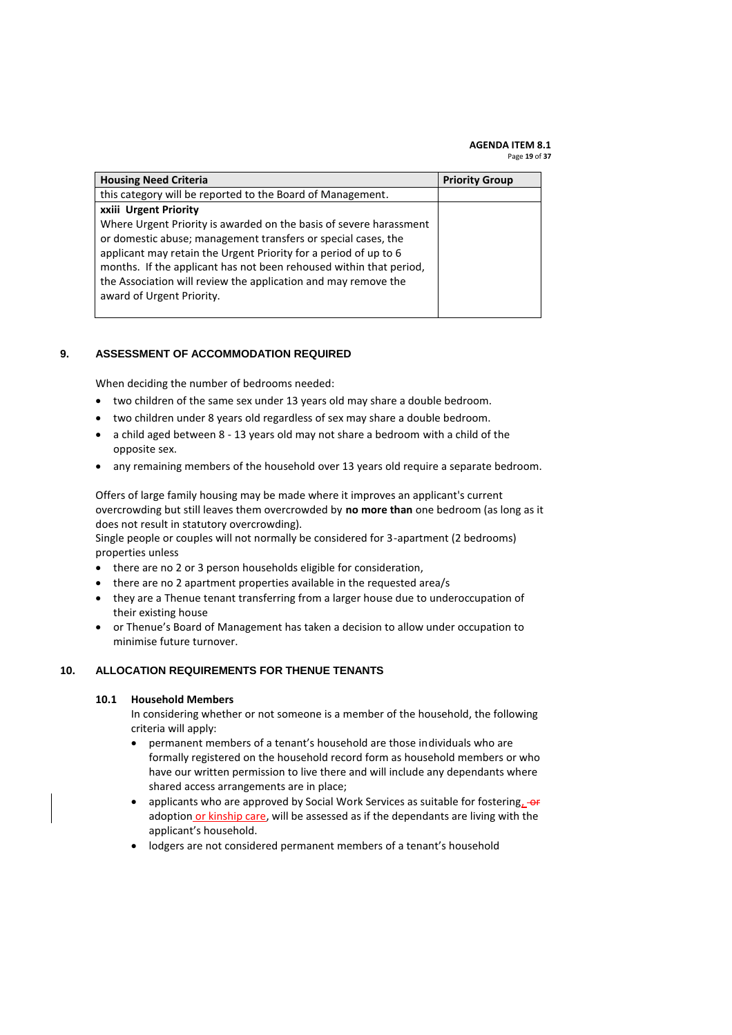#### **AGENDA ITEM 8.1** Page **19** of **37**

| <b>Housing Need Criteria</b>                                                                                                                                                                                                                                                                                                                                                 | <b>Priority Group</b> |
|------------------------------------------------------------------------------------------------------------------------------------------------------------------------------------------------------------------------------------------------------------------------------------------------------------------------------------------------------------------------------|-----------------------|
| this category will be reported to the Board of Management.                                                                                                                                                                                                                                                                                                                   |                       |
| xxiii Urgent Priority                                                                                                                                                                                                                                                                                                                                                        |                       |
| Where Urgent Priority is awarded on the basis of severe harassment<br>or domestic abuse; management transfers or special cases, the<br>applicant may retain the Urgent Priority for a period of up to 6<br>months. If the applicant has not been rehoused within that period,<br>the Association will review the application and may remove the<br>award of Urgent Priority. |                       |

### <span id="page-18-0"></span>**9. ASSESSMENT OF ACCOMMODATION REQUIRED**

When deciding the number of bedrooms needed:

- two children of the same sex under 13 years old may share a double bedroom.
- two children under 8 years old regardless of sex may share a double bedroom.
- a child aged between 8 13 years old may not share a bedroom with a child of the opposite sex.
- any remaining members of the household over 13 years old require a separate bedroom.

Offers of large family housing may be made where it improves an applicant's current overcrowding but still leaves them overcrowded by **no more than** one bedroom (as long as it does not result in statutory overcrowding).

Single people or couples will not normally be considered for 3-apartment (2 bedrooms) properties unless

- there are no 2 or 3 person households eligible for consideration,
- there are no 2 apartment properties available in the requested area/s
- they are a Thenue tenant transferring from a larger house due to underoccupation of their existing house
- or Thenue's Board of Management has taken a decision to allow under occupation to minimise future turnover.

### <span id="page-18-1"></span>**10. ALLOCATION REQUIREMENTS FOR THENUE TENANTS**

### **10.1 Household Members**

In considering whether or not someone is a member of the household, the following criteria will apply:

- permanent members of a tenant's household are those individuals who are formally registered on the household record form as household members or who have our written permission to live there and will include any dependants where shared access arrangements are in place;
- applicants who are approved by Social Work Services as suitable for fostering, or adoption or kinship care, will be assessed as if the dependants are living with the applicant's household.
- lodgers are not considered permanent members of a tenant's household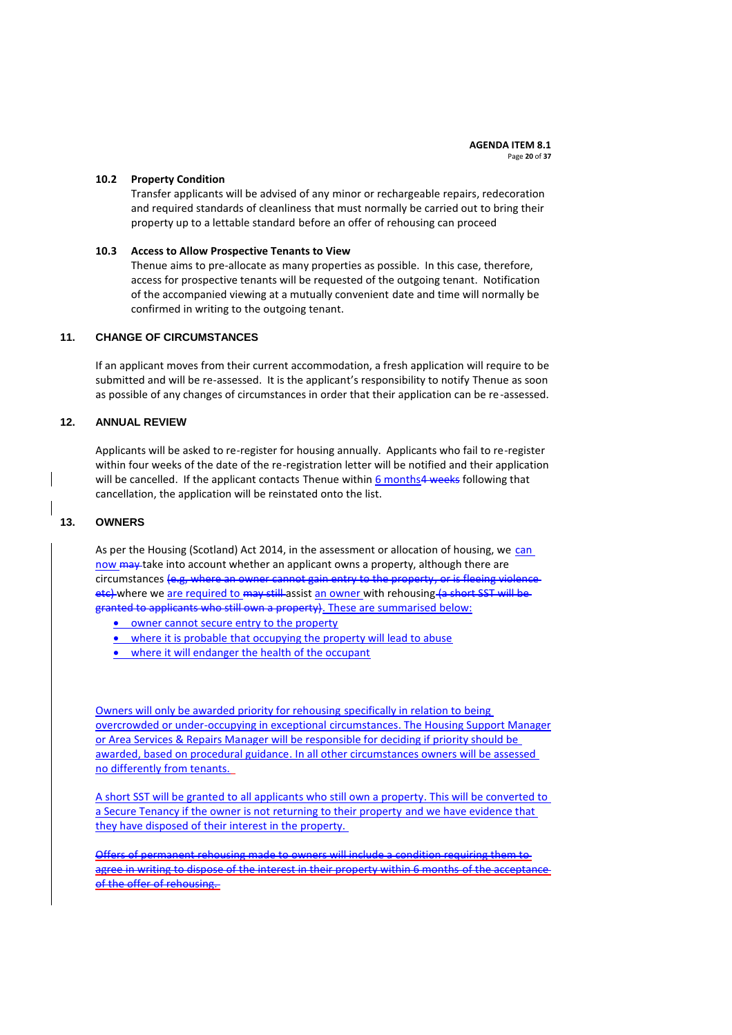#### **10.2 Property Condition**

Transfer applicants will be advised of any minor or rechargeable repairs, redecoration and required standards of cleanliness that must normally be carried out to bring their property up to a lettable standard before an offer of rehousing can proceed

#### **10.3 Access to Allow Prospective Tenants to View**

Thenue aims to pre-allocate as many properties as possible. In this case, therefore, access for prospective tenants will be requested of the outgoing tenant. Notification of the accompanied viewing at a mutually convenient date and time will normally be confirmed in writing to the outgoing tenant.

### <span id="page-19-0"></span>**11. CHANGE OF CIRCUMSTANCES**

If an applicant moves from their current accommodation, a fresh application will require to be submitted and will be re-assessed. It is the applicant's responsibility to notify Thenue as soon as possible of any changes of circumstances in order that their application can be re-assessed.

### <span id="page-19-1"></span>**12. ANNUAL REVIEW**

Applicants will be asked to re-register for housing annually. Applicants who fail to re-register within four weeks of the date of the re-registration letter will be notified and their application will be cancelled. If the applicant contacts Thenue within 6 months4 weeks following that cancellation, the application will be reinstated onto the list.

### <span id="page-19-2"></span>**13. OWNERS**

As per the Housing (Scotland) Act 2014, in the assessment or allocation of housing, we can now may take into account whether an applicant owns a property, although there are circumstances (e.g, where an owner cannot gain entry to the property, or is fleeing violence etc) where we are required to may still assist an owner with rehousing (a short SST will be granted to applicants who still own a property). These are summarised below:

- **•** owner cannot secure entry to the property
- where it is probable that occupying the property will lead to abuse
- where it will endanger the health of the occupant

Owners will only be awarded priority for rehousing specifically in relation to being overcrowded or under-occupying in exceptional circumstances. The Housing Support Manager or Area Services & Repairs Manager will be responsible for deciding if priority should be awarded, based on procedural guidance. In all other circumstances owners will be assessed no differently from tenants.

A short SST will be granted to all applicants who still own a property. This will be converted to a Secure Tenancy if the owner is not returning to their property and we have evidence that they have disposed of their interest in the property.

Offers of permanent rehousing made to owners will include a condition requiring them to agree in writing to dispose of the interest in their property within 6 months of the accepta of the offer of rehousing.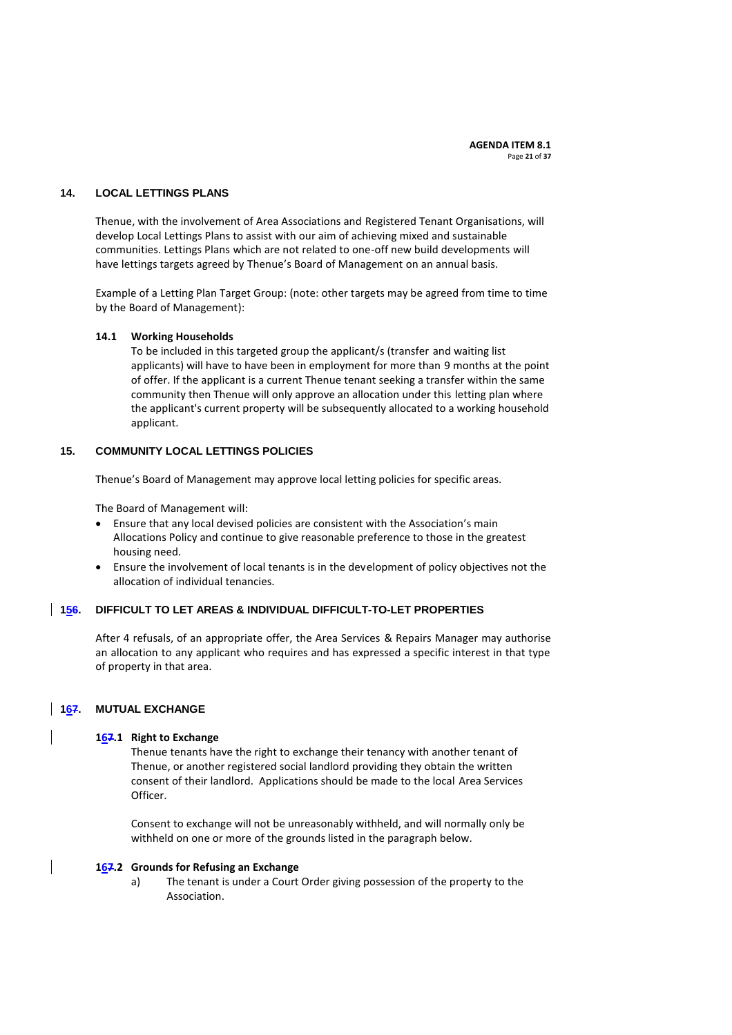#### <span id="page-20-0"></span>**14. LOCAL LETTINGS PLANS**

Thenue, with the involvement of Area Associations and Registered Tenant Organisations, will develop Local Lettings Plans to assist with our aim of achieving mixed and sustainable communities. Lettings Plans which are not related to one-off new build developments will have lettings targets agreed by Thenue's Board of Management on an annual basis.

Example of a Letting Plan Target Group: (note: other targets may be agreed from time to time by the Board of Management):

#### **14.1 Working Households**

To be included in this targeted group the applicant/s (transfer and waiting list applicants) will have to have been in employment for more than 9 months at the point of offer. If the applicant is a current Thenue tenant seeking a transfer within the same community then Thenue will only approve an allocation under this letting plan where the applicant's current property will be subsequently allocated to a working household applicant.

### <span id="page-20-1"></span>**15. COMMUNITY LOCAL LETTINGS POLICIES**

Thenue's Board of Management may approve local letting policies for specific areas.

The Board of Management will:

- Ensure that any local devised policies are consistent with the Association's main Allocations Policy and continue to give reasonable preference to those in the greatest housing need.
- Ensure the involvement of local tenants is in the development of policy objectives not the allocation of individual tenancies.

### <span id="page-20-2"></span>**156. DIFFICULT TO LET AREAS & INDIVIDUAL DIFFICULT-TO-LET PROPERTIES**

After 4 refusals, of an appropriate offer, the Area Services & Repairs Manager may authorise an allocation to any applicant who requires and has expressed a specific interest in that type of property in that area.

### <span id="page-20-3"></span>**167. MUTUAL EXCHANGE**

#### **167.1 Right to Exchange**

Thenue tenants have the right to exchange their tenancy with another tenant of Thenue, or another registered social landlord providing they obtain the written consent of their landlord. Applications should be made to the local Area Services Officer.

Consent to exchange will not be unreasonably withheld, and will normally only be withheld on one or more of the grounds listed in the paragraph below.

#### **167.2 Grounds for Refusing an Exchange**

a) The tenant is under a Court Order giving possession of the property to the Association.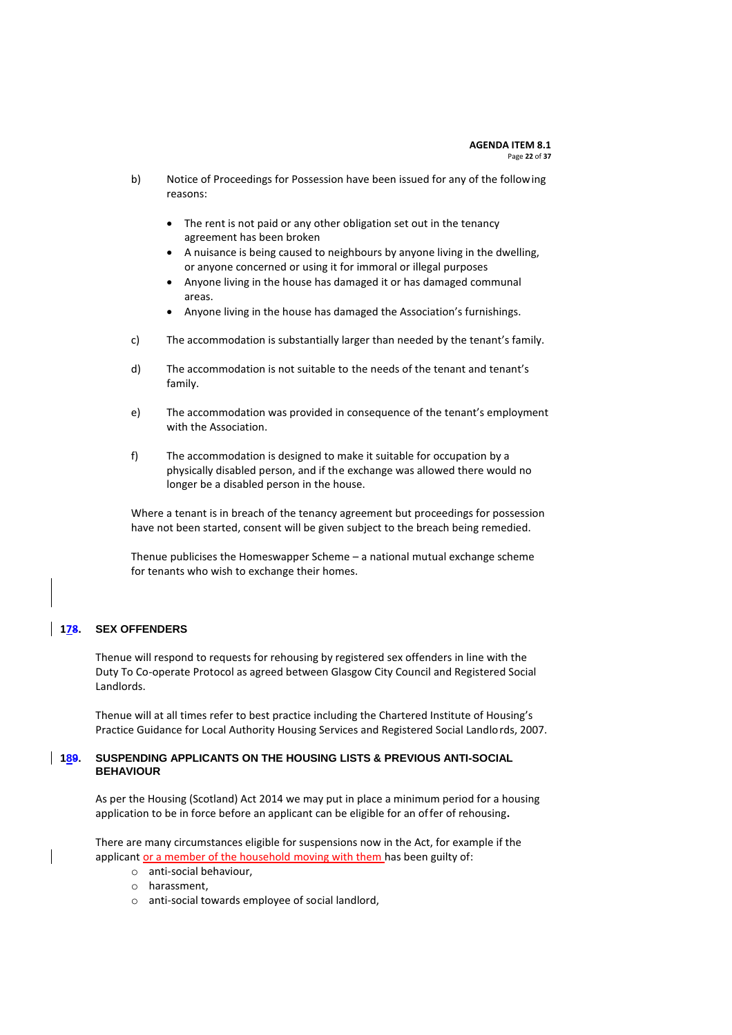- b) Notice of Proceedings for Possession have been issued for any of the following reasons:
	- The rent is not paid or any other obligation set out in the tenancy agreement has been broken
	- A nuisance is being caused to neighbours by anyone living in the dwelling, or anyone concerned or using it for immoral or illegal purposes
	- Anyone living in the house has damaged it or has damaged communal areas.
	- Anyone living in the house has damaged the Association's furnishings.
- c) The accommodation is substantially larger than needed by the tenant's family.
- d) The accommodation is not suitable to the needs of the tenant and tenant's family.
- e) The accommodation was provided in consequence of the tenant's employment with the Association.
- f) The accommodation is designed to make it suitable for occupation by a physically disabled person, and if the exchange was allowed there would no longer be a disabled person in the house.

Where a tenant is in breach of the tenancy agreement but proceedings for possession have not been started, consent will be given subject to the breach being remedied.

Thenue publicises the Homeswapper Scheme – a national mutual exchange scheme for tenants who wish to exchange their homes.

### <span id="page-21-0"></span>**178. SEX OFFENDERS**

Thenue will respond to requests for rehousing by registered sex offenders in line with the Duty To Co-operate Protocol as agreed between Glasgow City Council and Registered Social Landlords.

Thenue will at all times refer to best practice including the Chartered Institute of Housing's Practice Guidance for Local Authority Housing Services and Registered Social Landlords, 2007.

### <span id="page-21-1"></span>**189. SUSPENDING APPLICANTS ON THE HOUSING LISTS & PREVIOUS ANTI-SOCIAL BEHAVIOUR**

As per the Housing (Scotland) Act 2014 we may put in place a minimum period for a housing application to be in force before an applicant can be eligible for an offer of rehousing**.**

There are many circumstances eligible for suspensions now in the Act, for example if the applicant or a member of the household moving with them has been guilty of:

- o anti-social behaviour,
- o harassment,
- o anti-social towards employee of social landlord,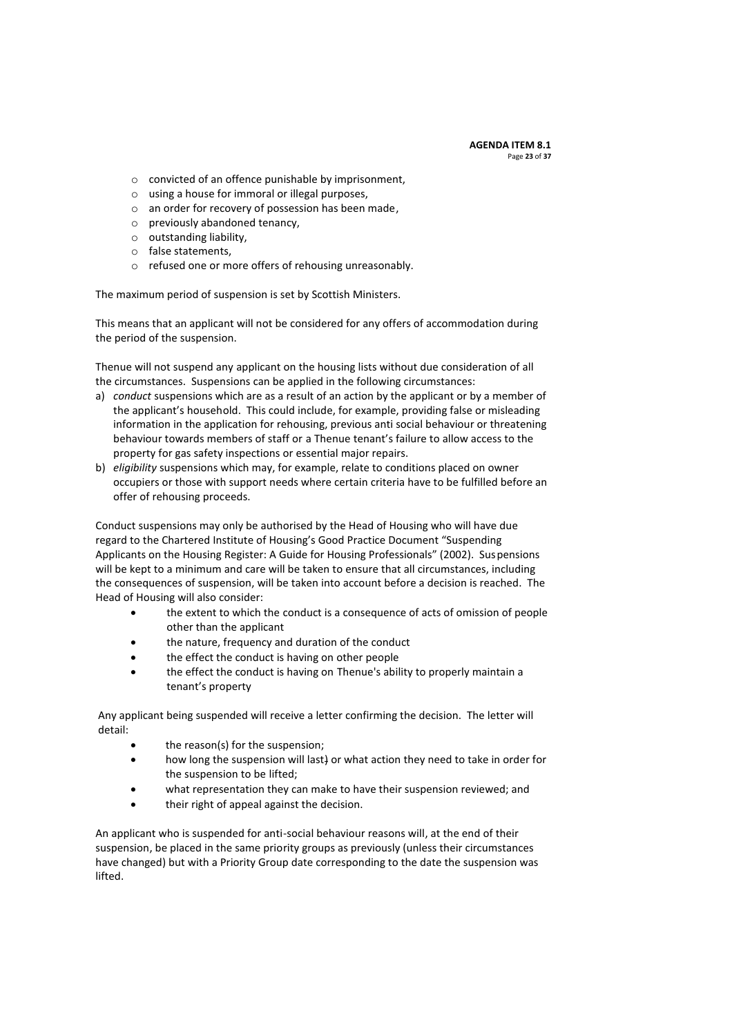#### **AGENDA ITEM 8.1** Page **23** of **37**

- o convicted of an offence punishable by imprisonment,
- o using a house for immoral or illegal purposes,
- o an order for recovery of possession has been made,
- o previously abandoned tenancy,
- o outstanding liability,
- o false statements,
- o refused one or more offers of rehousing unreasonably.

The maximum period of suspension is set by Scottish Ministers.

This means that an applicant will not be considered for any offers of accommodation during the period of the suspension.

Thenue will not suspend any applicant on the housing lists without due consideration of all the circumstances. Suspensions can be applied in the following circumstances:

- a) *conduct* suspensions which are as a result of an action by the applicant or by a member of the applicant's household. This could include, for example, providing false or misleading information in the application for rehousing, previous anti social behaviour or threatening behaviour towards members of staff or a Thenue tenant's failure to allow access to the property for gas safety inspections or essential major repairs.
- b) *eligibility* suspensions which may, for example, relate to conditions placed on owner occupiers or those with support needs where certain criteria have to be fulfilled before an offer of rehousing proceeds.

Conduct suspensions may only be authorised by the Head of Housing who will have due regard to the Chartered Institute of Housing's Good Practice Document "Suspending Applicants on the Housing Register: A Guide for Housing Professionals" (2002). Suspensions will be kept to a minimum and care will be taken to ensure that all circumstances, including the consequences of suspension, will be taken into account before a decision is reached. The Head of Housing will also consider:

- the extent to which the conduct is a consequence of acts of omission of people other than the applicant
- the nature, frequency and duration of the conduct
- the effect the conduct is having on other people
- the effect the conduct is having on Thenue's ability to properly maintain a tenant's property

Any applicant being suspended will receive a letter confirming the decision. The letter will detail:

- the reason(s) for the suspension;
- how long the suspension will last) or what action they need to take in order for the suspension to be lifted;
- what representation they can make to have their suspension reviewed; and
- their right of appeal against the decision.

An applicant who is suspended for anti-social behaviour reasons will, at the end of their suspension, be placed in the same priority groups as previously (unless their circumstances have changed) but with a Priority Group date corresponding to the date the suspension was lifted.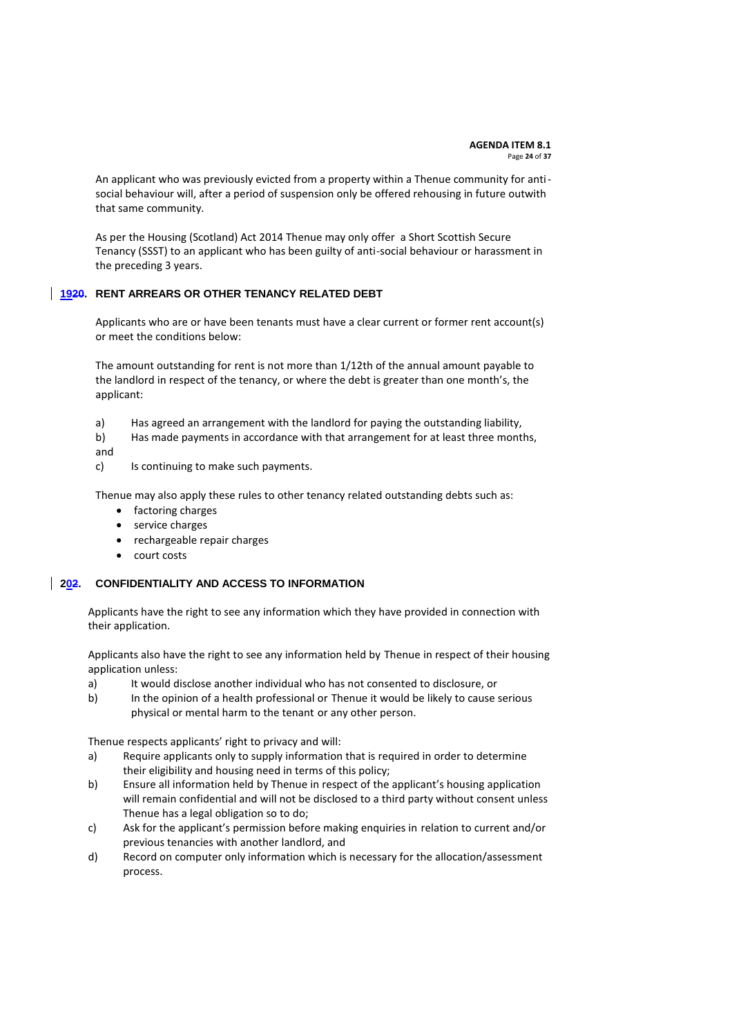An applicant who was previously evicted from a property within a Thenue community for antisocial behaviour will, after a period of suspension only be offered rehousing in future outwith that same community.

As per the Housing (Scotland) Act 2014 Thenue may only offer a Short Scottish Secure Tenancy (SSST) to an applicant who has been guilty of anti-social behaviour or harassment in the preceding 3 years.

### <span id="page-23-0"></span>**1920. RENT ARREARS OR OTHER TENANCY RELATED DEBT**

Applicants who are or have been tenants must have a clear current or former rent account(s) or meet the conditions below:

The amount outstanding for rent is not more than 1/12th of the annual amount payable to the landlord in respect of the tenancy, or where the debt is greater than one month's, the applicant:

- a) Has agreed an arrangement with the landlord for paying the outstanding liability,
- b) Has made payments in accordance with that arrangement for at least three months,
- and
- c) Is continuing to make such payments.

Thenue may also apply these rules to other tenancy related outstanding debts such as:

- factoring charges
- service charges
- rechargeable repair charges
- court costs

### <span id="page-23-1"></span>**202. CONFIDENTIALITY AND ACCESS TO INFORMATION**

Applicants have the right to see any information which they have provided in connection with their application.

Applicants also have the right to see any information held by Thenue in respect of their housing application unless:

- a) It would disclose another individual who has not consented to disclosure, or
- b) In the opinion of a health professional or Thenue it would be likely to cause serious physical or mental harm to the tenant or any other person.

Thenue respects applicants' right to privacy and will:

- a) Require applicants only to supply information that is required in order to determine their eligibility and housing need in terms of this policy;
- b) Ensure all information held by Thenue in respect of the applicant's housing application will remain confidential and will not be disclosed to a third party without consent unless Thenue has a legal obligation so to do;
- c) Ask for the applicant's permission before making enquiries in relation to current and/or previous tenancies with another landlord, and
- d) Record on computer only information which is necessary for the allocation/assessment process.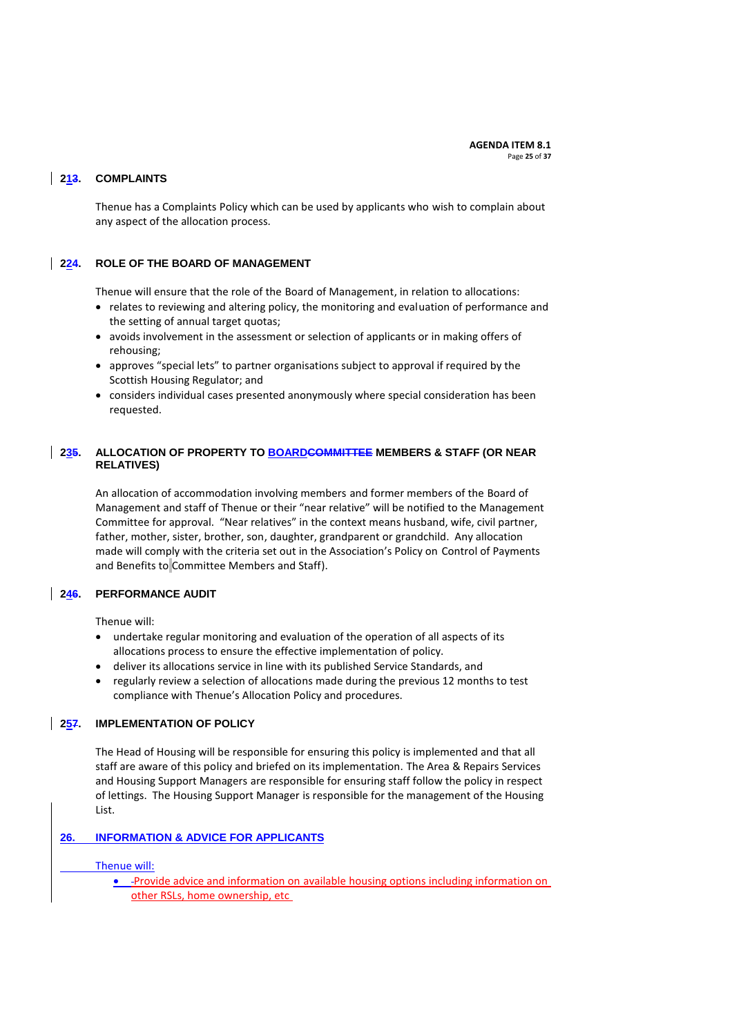## <span id="page-24-0"></span>**213. COMPLAINTS**

Thenue has a Complaints Policy which can be used by applicants who wish to complain about any aspect of the allocation process.

### <span id="page-24-1"></span>**224. ROLE OF THE BOARD OF MANAGEMENT**

Thenue will ensure that the role of the Board of Management, in relation to allocations:

- relates to reviewing and altering policy, the monitoring and evaluation of performance and the setting of annual target quotas;
- avoids involvement in the assessment or selection of applicants or in making offers of rehousing;
- approves "special lets" to partner organisations subject to approval if required by the Scottish Housing Regulator; and
- considers individual cases presented anonymously where special consideration has been requested.

## <span id="page-24-2"></span>**235. ALLOCATION OF PROPERTY TO BOARDCOMMITTEE MEMBERS & STAFF (OR NEAR RELATIVES)**

An allocation of accommodation involving members and former members of the Board of Management and staff of Thenue or their "near relative" will be notified to the Management Committee for approval. "Near relatives" in the context means husband, wife, civil partner, father, mother, sister, brother, son, daughter, grandparent or grandchild. Any allocation made will comply with the criteria set out in the Association's Policy on Control of Payments and Benefits to Committee Members and Staff).

### <span id="page-24-3"></span>**246. PERFORMANCE AUDIT**

Thenue will:

- undertake regular monitoring and evaluation of the operation of all aspects of its allocations process to ensure the effective implementation of policy.
- deliver its allocations service in line with its published Service Standards, and
- regularly review a selection of allocations made during the previous 12 months to test compliance with Thenue's Allocation Policy and procedures.

### <span id="page-24-4"></span>**257. IMPLEMENTATION OF POLICY**

The Head of Housing will be responsible for ensuring this policy is implemented and that all staff are aware of this policy and briefed on its implementation. The Area & Repairs Services and Housing Support Managers are responsible for ensuring staff follow the policy in respect of lettings. The Housing Support Manager is responsible for the management of the Housing List.

### **26. INFORMATION & ADVICE FOR APPLICANTS**

Thenue will:

**•** -Provide advice and information on available housing options including information on other RSLs, home ownership, etc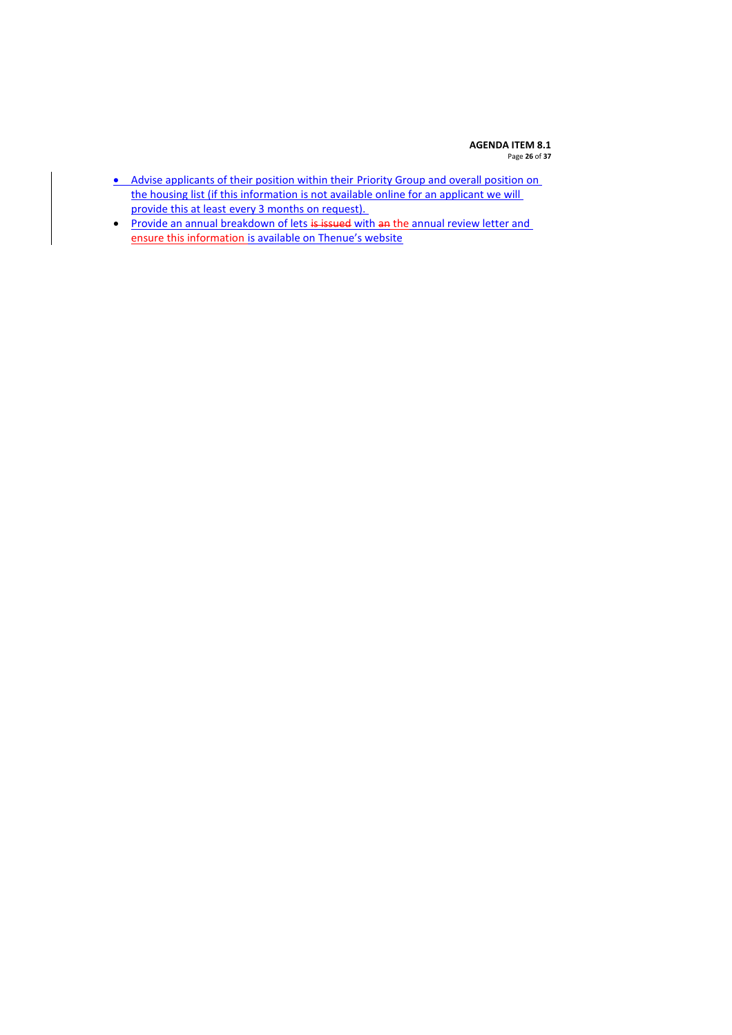#### **AGENDA ITEM 8.1** Page **26** of **37**

- Advise applicants of their position within their Priority Group and overall position on the housing list (if this information is not available online for an applicant we will provide this at least every 3 months on request).
- Provide an annual breakdown of lets is issued with an the annual review letter and ensure this information is available on Thenue's website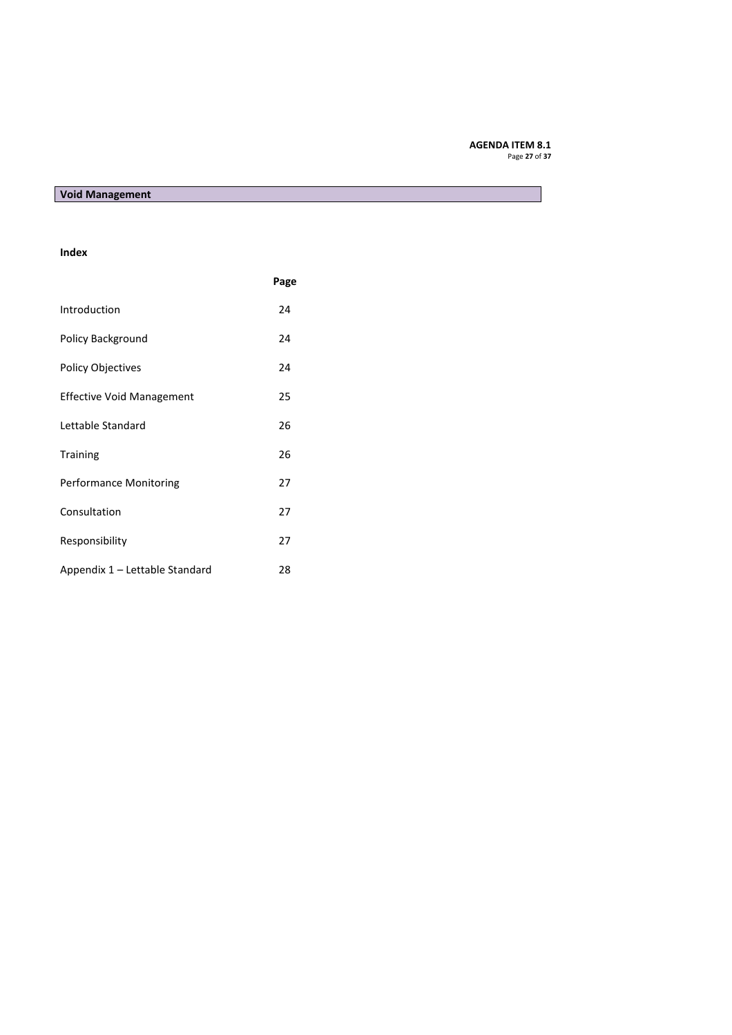#### **AGENDA ITEM 8.1** Page **27** of **37**

# **Void Management**

### **Index**

|                                  | Page |
|----------------------------------|------|
| Introduction                     | 24   |
| Policy Background                | 24   |
| <b>Policy Objectives</b>         | 24   |
| <b>Effective Void Management</b> | 25   |
| Lettable Standard                | 26   |
| <b>Training</b>                  | 26   |
| <b>Performance Monitoring</b>    | 27   |
| Consultation                     | 27   |
| Responsibility                   | 27   |
| Appendix 1 – Lettable Standard   | 28   |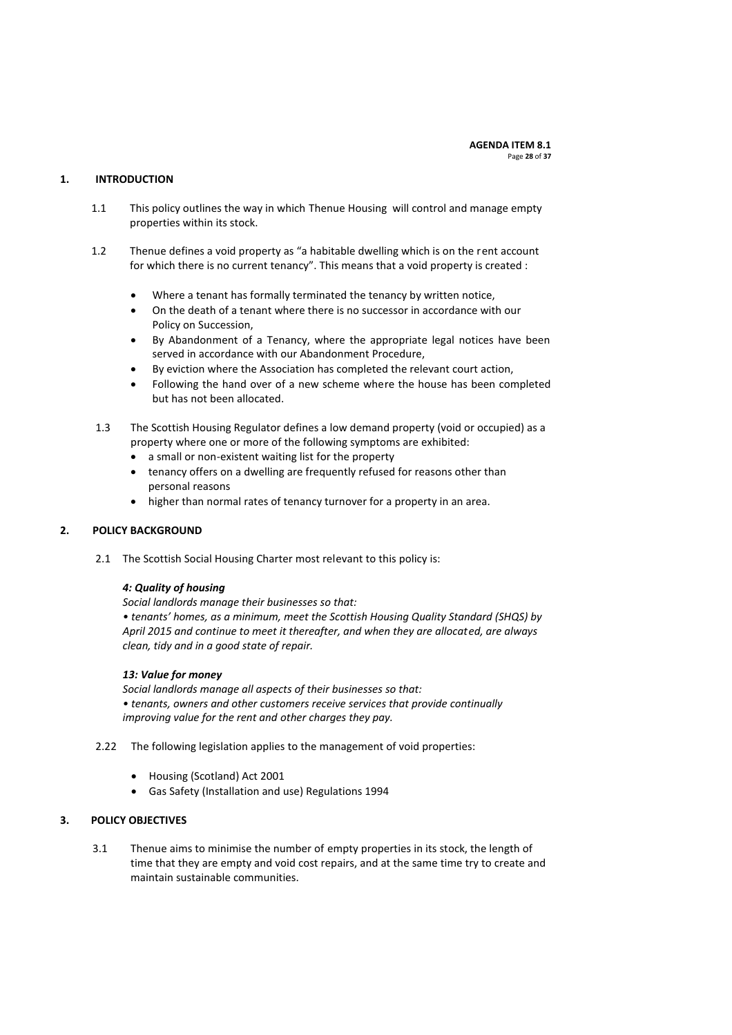### **1. INTRODUCTION**

- 1.1 This policy outlines the way in which Thenue Housing will control and manage empty properties within its stock.
- 1.2 Thenue defines a void property as "a habitable dwelling which is on the rent account for which there is no current tenancy". This means that a void property is created :
	- Where a tenant has formally terminated the tenancy by written notice,
	- On the death of a tenant where there is no successor in accordance with our Policy on Succession,
	- By Abandonment of a Tenancy, where the appropriate legal notices have been served in accordance with our Abandonment Procedure,
	- By eviction where the Association has completed the relevant court action,
	- Following the hand over of a new scheme where the house has been completed but has not been allocated.
- 1.3 The Scottish Housing Regulator defines a low demand property (void or occupied) as a property where one or more of the following symptoms are exhibited:
	- a small or non-existent waiting list for the property
	- tenancy offers on a dwelling are frequently refused for reasons other than personal reasons
	- higher than normal rates of tenancy turnover for a property in an area.

### **2. POLICY BACKGROUND**

2.1 The Scottish Social Housing Charter most relevant to this policy is:

# *4: Quality of housing*

*Social landlords manage their businesses so that: • tenants' homes, as a minimum, meet the Scottish Housing Quality Standard (SHQS) by April 2015 and continue to meet it thereafter, and when they are allocated, are always clean, tidy and in a good state of repair.*

### *13: Value for money*

*Social landlords manage all aspects of their businesses so that: • tenants, owners and other customers receive services that provide continually improving value for the rent and other charges they pay.*

- 2.22 The following legislation applies to the management of void properties:
	- Housing (Scotland) Act 2001
	- Gas Safety (Installation and use) Regulations 1994

### **3. POLICY OBJECTIVES**

3.1 Thenue aims to minimise the number of empty properties in its stock, the length of time that they are empty and void cost repairs, and at the same time try to create and maintain sustainable communities.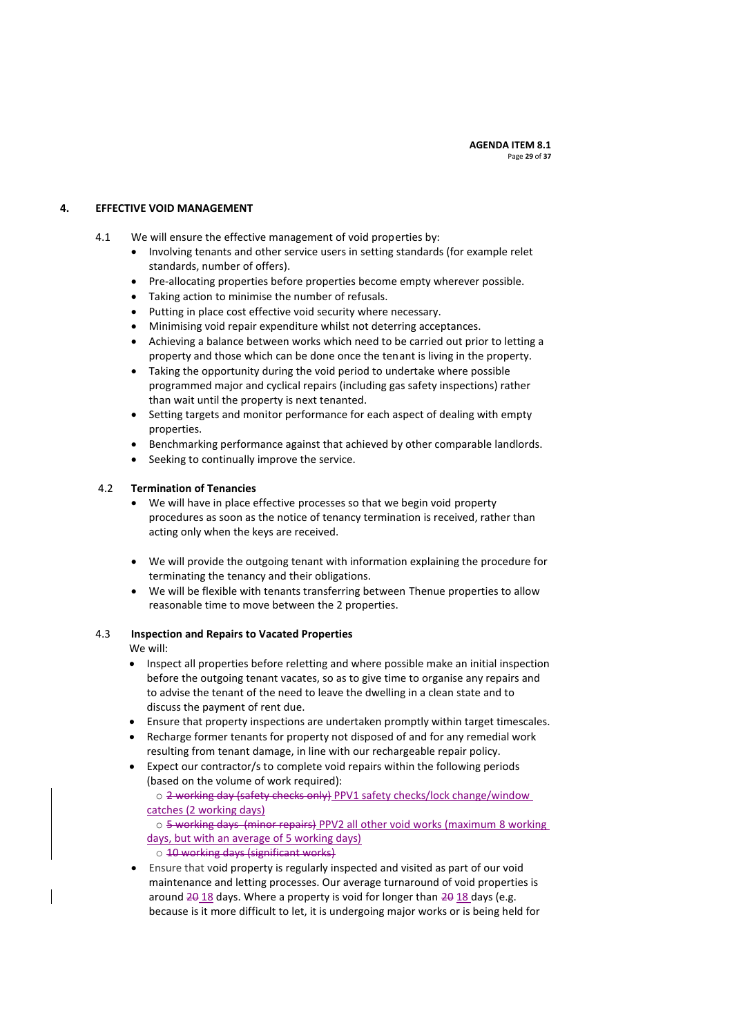### **4. EFFECTIVE VOID MANAGEMENT**

- 4.1 We will ensure the effective management of void properties by:
	- Involving tenants and other service users in setting standards (for example relet standards, number of offers).
	- Pre-allocating properties before properties become empty wherever possible.
	- Taking action to minimise the number of refusals.
	- Putting in place cost effective void security where necessary.
	- Minimising void repair expenditure whilst not deterring acceptances.
	- Achieving a balance between works which need to be carried out prior to letting a property and those which can be done once the tenant is living in the property.
	- Taking the opportunity during the void period to undertake where possible programmed major and cyclical repairs (including gas safety inspections) rather than wait until the property is next tenanted.
	- Setting targets and monitor performance for each aspect of dealing with empty properties.
	- Benchmarking performance against that achieved by other comparable landlords.
	- Seeking to continually improve the service.

### 4.2 **Termination of Tenancies**

- We will have in place effective processes so that we begin void property procedures as soon as the notice of tenancy termination is received, rather than acting only when the keys are received.
- We will provide the outgoing tenant with information explaining the procedure for terminating the tenancy and their obligations.
- We will be flexible with tenants transferring between Thenue properties to allow reasonable time to move between the 2 properties.

### 4.3 **Inspection and Repairs to Vacated Properties**

We will:

- Inspect all properties before reletting and where possible make an initial inspection before the outgoing tenant vacates, so as to give time to organise any repairs and to advise the tenant of the need to leave the dwelling in a clean state and to discuss the payment of rent due.
- Ensure that property inspections are undertaken promptly within target timescales.
- Recharge former tenants for property not disposed of and for any remedial work resulting from tenant damage, in line with our rechargeable repair policy.
- Expect our contractor/s to complete void repairs within the following periods (based on the volume of work required):

o 2 working day (safety checks only) PPV1 safety checks/lock change/window catches (2 working days)

o 5 working days (minor repairs) PPV2 all other void works (maximum 8 working days, but with an average of 5 working days)

- o 10 working days (significant works)
- Ensure that void property is regularly inspected and visited as part of our void maintenance and letting processes. Our average turnaround of void properties is around  $20$  18 days. Where a property is void for longer than  $20$  18 days (e.g. because is it more difficult to let, it is undergoing major works or is being held for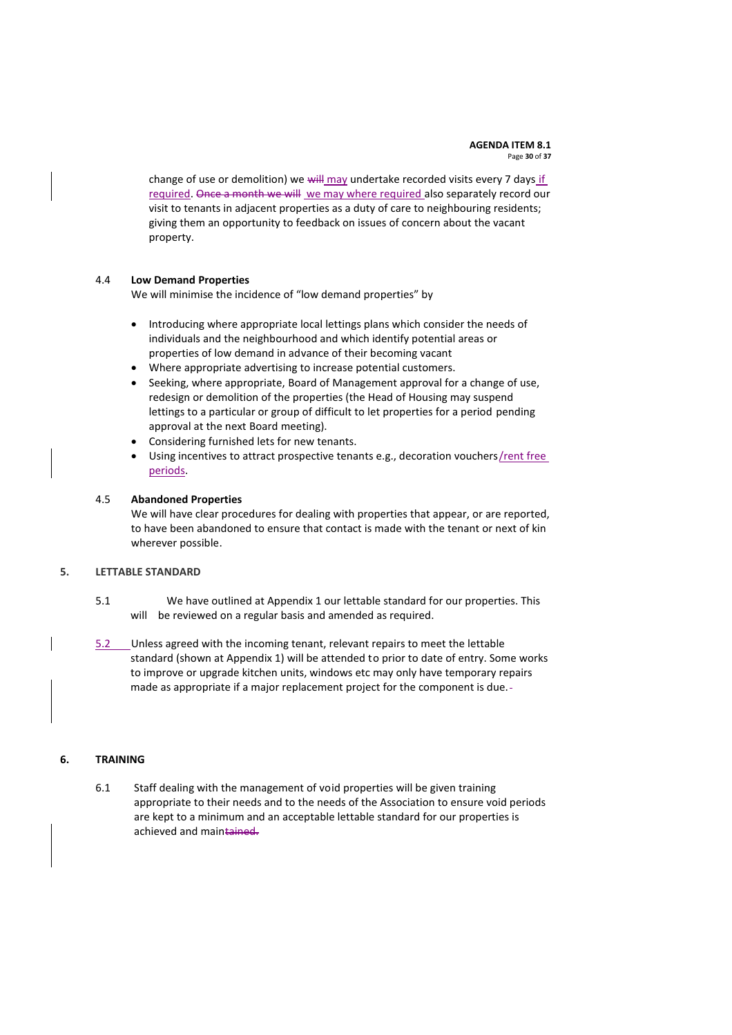#### **AGENDA ITEM 8.1** Page **30** of **37**

change of use or demolition) we  $with$  may undertake recorded visits every 7 days if required. Once a month we will we may where required also separately record our visit to tenants in adjacent properties as a duty of care to neighbouring residents; giving them an opportunity to feedback on issues of concern about the vacant property.

### 4.4 **Low Demand Properties**

We will minimise the incidence of "low demand properties" by

- Introducing where appropriate local lettings plans which consider the needs of individuals and the neighbourhood and which identify potential areas or properties of low demand in advance of their becoming vacant
- Where appropriate advertising to increase potential customers.
- Seeking, where appropriate, Board of Management approval for a change of use, redesign or demolition of the properties (the Head of Housing may suspend lettings to a particular or group of difficult to let properties for a period pending approval at the next Board meeting).
- Considering furnished lets for new tenants.
- Using incentives to attract prospective tenants e.g., decoration vouchers/rent free periods.

### 4.5 **Abandoned Properties**

We will have clear procedures for dealing with properties that appear, or are reported, to have been abandoned to ensure that contact is made with the tenant or next of kin wherever possible.

### **5. LETTABLE STANDARD**

- 5.1 We have outlined at Appendix 1 our lettable standard for our properties. This will be reviewed on a regular basis and amended as required.
- 5.2 Unless agreed with the incoming tenant, relevant repairs to meet the lettable standard (shown at Appendix 1) will be attended to prior to date of entry. Some works to improve or upgrade kitchen units, windows etc may only have temporary repairs made as appropriate if a major replacement project for the component is due.

### **6. TRAINING**

6.1 Staff dealing with the management of void properties will be given training appropriate to their needs and to the needs of the Association to ensure void periods are kept to a minimum and an acceptable lettable standard for our properties is achieved and maintained.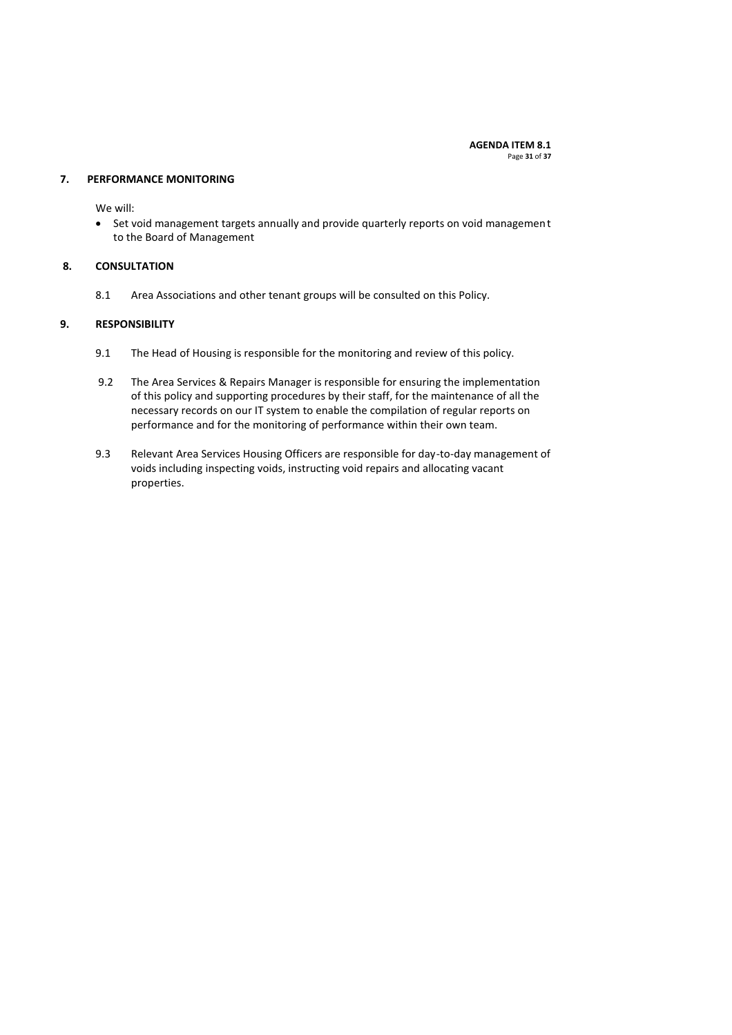**AGENDA ITEM 8.1** Page **31** of **37**

#### **7. PERFORMANCE MONITORING**

We will:

 Set void management targets annually and provide quarterly reports on void management to the Board of Management

### **8. CONSULTATION**

8.1 Area Associations and other tenant groups will be consulted on this Policy.

### **9. RESPONSIBILITY**

- 9.1 The Head of Housing is responsible for the monitoring and review of this policy.
- 9.2 The Area Services & Repairs Manager is responsible for ensuring the implementation of this policy and supporting procedures by their staff, for the maintenance of all the necessary records on our IT system to enable the compilation of regular reports on performance and for the monitoring of performance within their own team.
- 9.3 Relevant Area Services Housing Officers are responsible for day-to-day management of voids including inspecting voids, instructing void repairs and allocating vacant properties.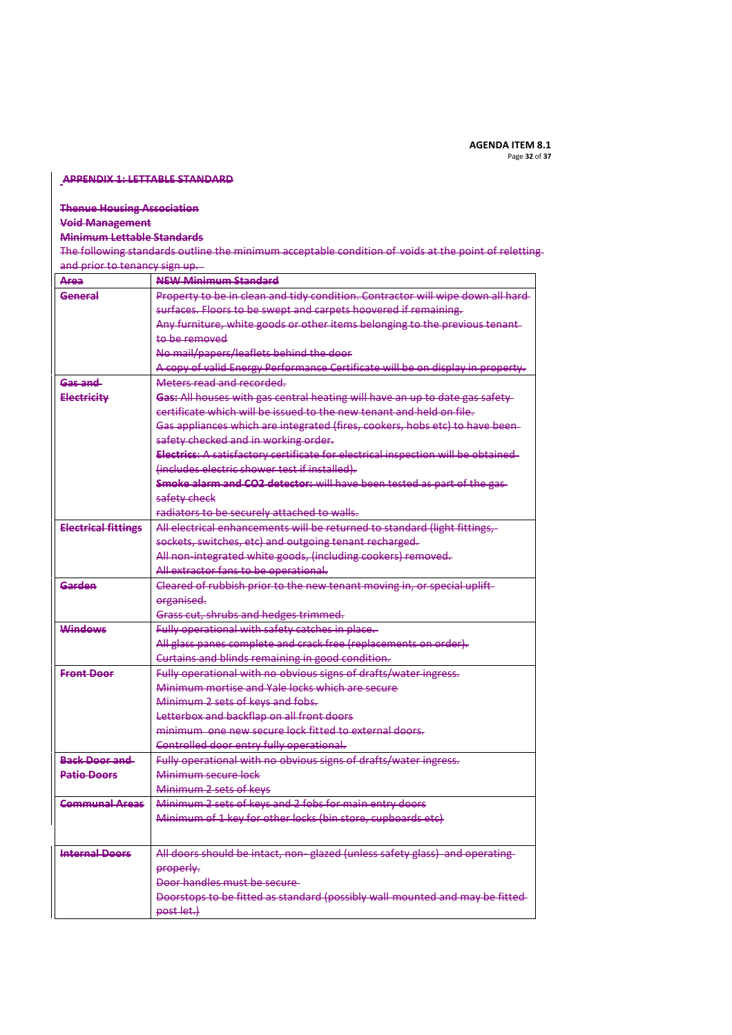#### **APPENDIX 1: LETTABLE STANDARD**

# **Thenue Housing Association**

# **Void Management**

# **Minimum Lettable Standards**

The following standards outline the minimum acceptable condition of voids at the point of reletting and prior to tenancy sign up.

| Area                       | <b>NEW Minimum Standard</b>                                                      |
|----------------------------|----------------------------------------------------------------------------------|
| General                    | Property to be in clean and tidy condition. Contractor will wipe down all hard-  |
|                            | surfaces. Floors to be swept and carpets hoovered if remaining.                  |
|                            | Any furniture, white goods or other items belonging to the previous tenant-      |
|                            | to be removed                                                                    |
|                            | No mail/papers/leaflets behind the door                                          |
|                            | A copy of valid Energy Performance Certificate will be on display in property.   |
| Gas and                    | Meters read and recorded.                                                        |
| <b>Electricity</b>         | Gas: All houses with gas central heating will have an up to date gas safety      |
|                            | certificate which will be issued to the new tenant and held on file.             |
|                            | Gas appliances which are integrated (fires, cookers, hobs etc) to have been-     |
|                            | safety checked and in working order.                                             |
|                            | Electrics: A satisfactory certificate for electrical inspection will be obtained |
|                            | (includes electric shower test if installed).                                    |
|                            | Smoke alarm and CO2 detector: will have been tested as part of the gas-          |
|                            | safety check                                                                     |
|                            | radiators to be securely attached to walls.                                      |
| <b>Electrical fittings</b> | All electrical enhancements will be returned to standard (light fittings,        |
|                            | sockets, switches, etc) and outgoing tenant recharged.                           |
|                            | All non-integrated white goods, (including cookers) removed.                     |
|                            | All extractor fans to be operational.                                            |
| Garden                     | Cleared of rubbish prior to the new tenant moving in, or special uplift-         |
|                            | organised.                                                                       |
|                            | Grass cut, shrubs and hedges trimmed.                                            |
| <b>Windows</b>             | Fully operational with safety catches in place.                                  |
|                            | All glass panes complete and crack free (replacements on order).                 |
|                            | Curtains and blinds remaining in good condition.                                 |
| <b>Front Door</b>          | Fully operational with no obvious signs of drafts/water ingress.                 |
|                            | Minimum mortise and Yale locks which are secure                                  |
|                            | Minimum 2 sets of keys and fobs.                                                 |
|                            | Letterbox and backflap on all front doors                                        |
|                            | minimum, one new secure lock fitted to external doors.                           |
|                            | Controlled door entry fully operational.                                         |
| <b>Back Door and</b>       | Fully operational with no obvious signs of drafts/water ingress.                 |
| <b>Datio Doors</b>         | Minimum secure lock                                                              |
|                            | Minimum 2 sets of keys                                                           |
| <b>Communal Areas</b>      | Minimum 2 sets of keys and 2 fobs for main entry doors                           |
|                            | Minimum of 1 key for other locks (bin store, cupboards etc)                      |
|                            |                                                                                  |
| <b>Internal Doors</b>      | All doors should be intact, non-glazed (unless safety glass) and operating       |
|                            | properly.                                                                        |
|                            | Door handles must be secure                                                      |
|                            | Doorstops to be fitted as standard (possibly wall mounted and may be fitted-     |
|                            | post let.)                                                                       |
|                            |                                                                                  |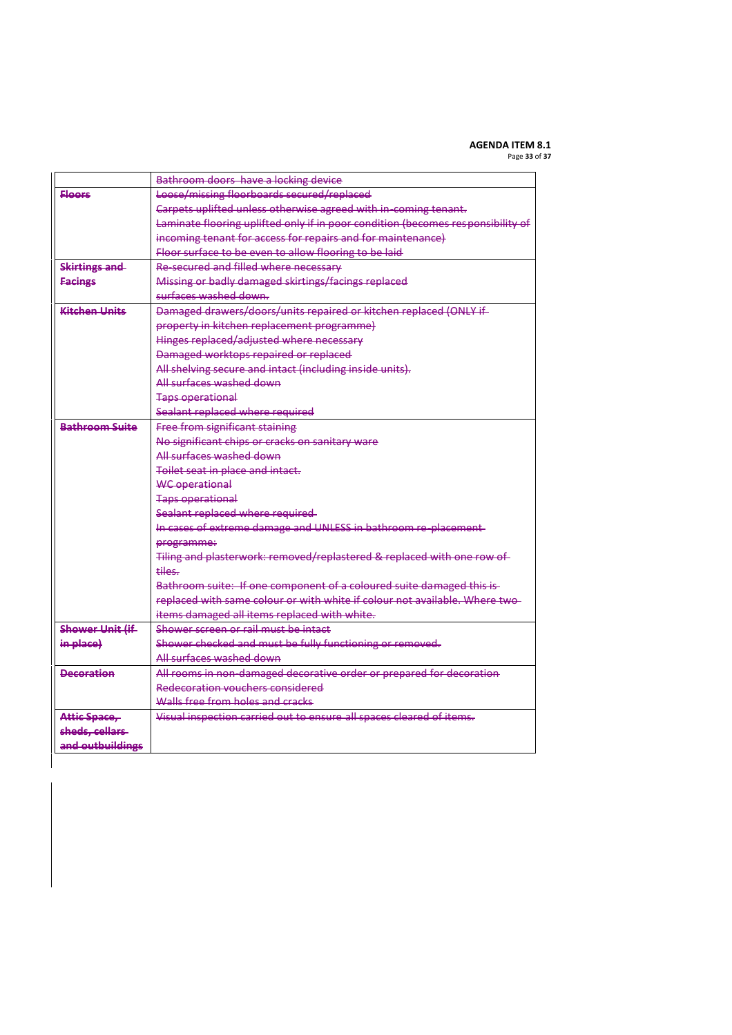# **AGENDA ITEM 8.1**

Page **33** of **37**

|                        | Bathroom doors have a locking device                                            |
|------------------------|---------------------------------------------------------------------------------|
| <b>Floors</b>          | Loose/missing floorboards secured/replaced                                      |
|                        | Carpets uplifted unless otherwise agreed with in-coming tenant.                 |
|                        | Laminate flooring uplifted only if in poor condition (becomes responsibility of |
|                        | incoming tenant for access for repairs and for maintenance)                     |
|                        | Floor surface to be even to allow flooring to be laid                           |
| <b>Skirtings and</b>   | Re-secured and filled where necessary                                           |
| <b>Facings</b>         | Missing or badly damaged skirtings/facings replaced                             |
|                        | surfaces washed down.                                                           |
| Kitchon Linits         | Damaged drawers/doors/units repaired or kitchen replaced (ONLY if-              |
|                        | property in kitchen replacement programme)                                      |
|                        | Hinges replaced/adjusted where necessary                                        |
|                        | Damaged worktops repaired or replaced                                           |
|                        | All shelving secure and intact (including inside units).                        |
|                        | All surfaces washed down                                                        |
|                        | <b>Taps operational</b>                                                         |
|                        | Sealant replaced where required                                                 |
| <b>Bathroom Suite</b>  | Free from significant staining                                                  |
|                        | No significant chips or cracks on sanitary ware                                 |
|                        | All surfaces washed down                                                        |
|                        | Toilet seat in place and intact.                                                |
|                        | <b>WC</b> operational                                                           |
|                        | <b>Taps operational</b>                                                         |
|                        | Sealant replaced where required-                                                |
|                        | In cases of extreme damage and UNLESS in bathroom re-placement-                 |
|                        | programme:                                                                      |
|                        | Tiling and plasterwork: removed/replastered & replaced with one row of          |
|                        | tiles.                                                                          |
|                        | Bathroom suite: If one component of a coloured suite damaged this is-           |
|                        | replaced with same colour or with white if colour not available. Where two-     |
|                        | items damaged all items replaced with white.                                    |
| <b>Shower Unit (if</b> | Shower screen or rail must be intact                                            |
| in place)              | Shower checked and must be fully functioning or removed.                        |
|                        | All surfaces washed down                                                        |
| <b>Decoration</b>      | All rooms in non-damaged decorative order or prepared for decoration            |
|                        | Redecoration vouchers considered                                                |
|                        | Walls free from holes and cracks                                                |
| Attic Space,           | Visual inspection carried out to ensure all spaces cleared of items.            |
| sheds, cellars         |                                                                                 |
| and outbuildings       |                                                                                 |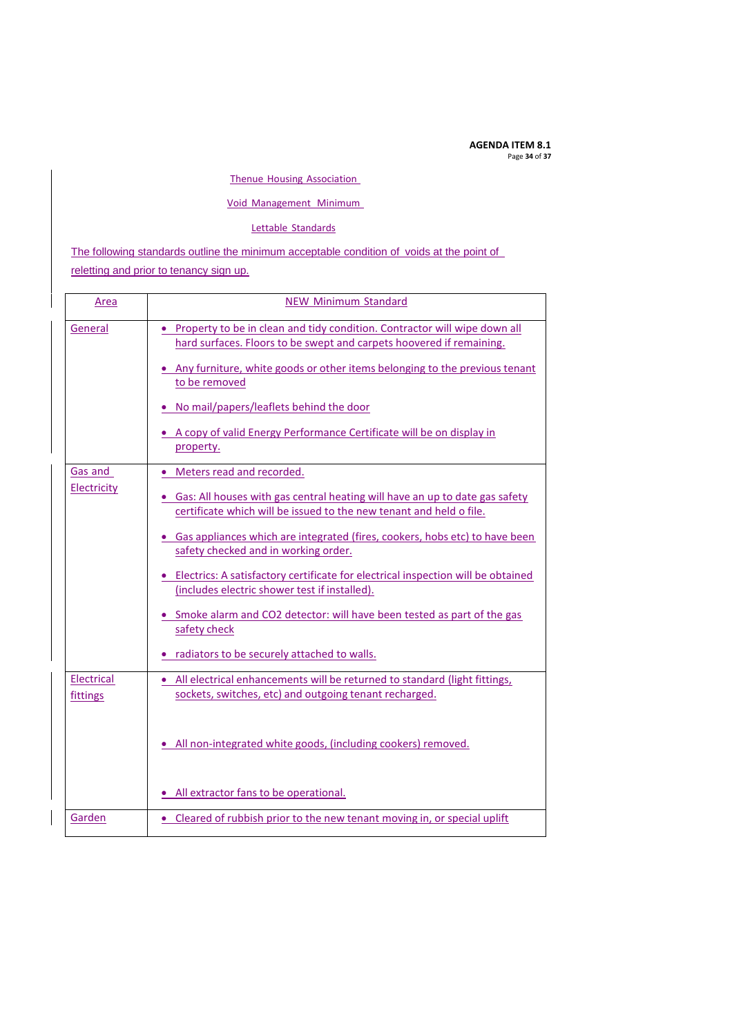**AGENDA ITEM 8.1** Page **34** of **37**

### Thenue Housing Association

### Void Management Minimum

### Lettable Standards

The following standards outline the minimum acceptable condition of voids at the point of

reletting and prior to tenancy sign up.

| Area                          | <b>NEW Minimum Standard</b>                                                                                                                                                                                                                                                                                                                                                                                                                                                                                                                                                                    |
|-------------------------------|------------------------------------------------------------------------------------------------------------------------------------------------------------------------------------------------------------------------------------------------------------------------------------------------------------------------------------------------------------------------------------------------------------------------------------------------------------------------------------------------------------------------------------------------------------------------------------------------|
| General                       | • Property to be in clean and tidy condition. Contractor will wipe down all<br>hard surfaces. Floors to be swept and carpets hoovered if remaining.<br>. Any furniture, white goods or other items belonging to the previous tenant<br>to be removed<br>No mail/papers/leaflets behind the door<br>• A copy of valid Energy Performance Certificate will be on display in<br>property.                                                                                                                                                                                                         |
| <b>Gas and</b><br>Electricity | Meters read and recorded.<br>• Gas: All houses with gas central heating will have an up to date gas safety<br>certificate which will be issued to the new tenant and held o file.<br>• Gas appliances which are integrated (fires, cookers, hobs etc) to have been<br>safety checked and in working order.<br>• Electrics: A satisfactory certificate for electrical inspection will be obtained<br>(includes electric shower test if installed).<br>• Smoke alarm and CO2 detector: will have been tested as part of the gas<br>safety check<br>• radiators to be securely attached to walls. |
| Electrical<br>fittings        | • All electrical enhancements will be returned to standard (light fittings,<br>sockets, switches, etc) and outgoing tenant recharged.<br>• All non-integrated white goods, (including cookers) removed.<br>• All extractor fans to be operational.                                                                                                                                                                                                                                                                                                                                             |
| Garden                        | • Cleared of rubbish prior to the new tenant moving in, or special uplift                                                                                                                                                                                                                                                                                                                                                                                                                                                                                                                      |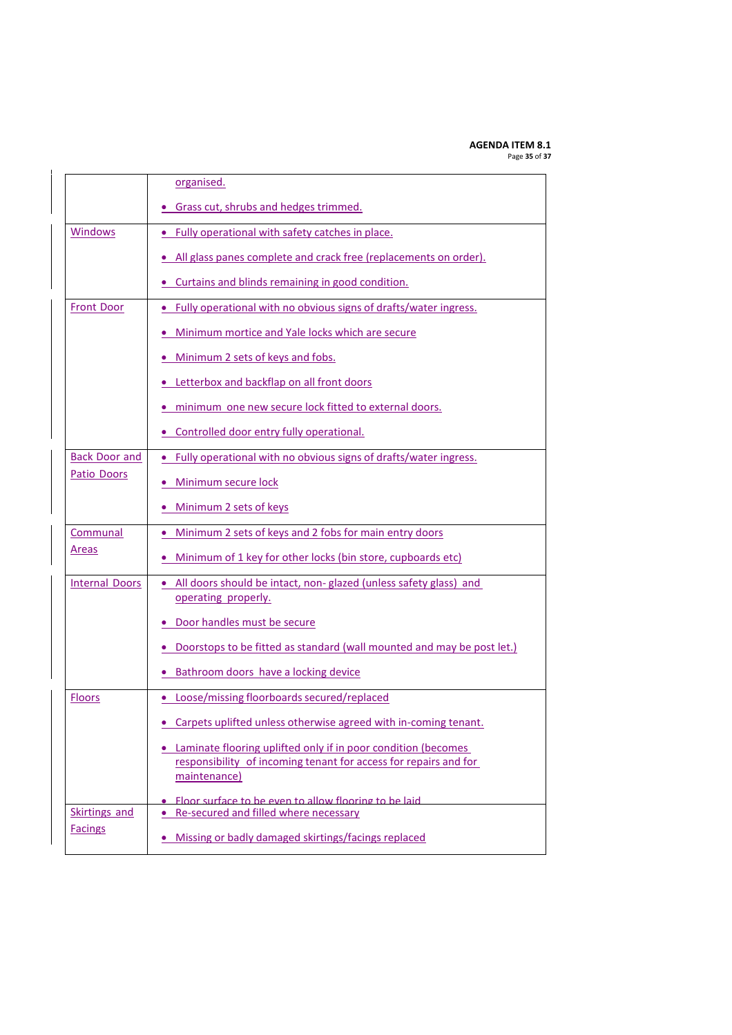#### **AGENDA ITEM 8.1** Page **35** of **37**

|                       | organised.                                                                                                                                          |
|-----------------------|-----------------------------------------------------------------------------------------------------------------------------------------------------|
|                       | • Grass cut, shrubs and hedges trimmed.                                                                                                             |
| <b>Windows</b>        | • Fully operational with safety catches in place.                                                                                                   |
|                       | All glass panes complete and crack free (replacements on order).                                                                                    |
|                       | • Curtains and blinds remaining in good condition.                                                                                                  |
| <b>Front Door</b>     | • Fully operational with no obvious signs of drafts/water ingress.                                                                                  |
|                       | Minimum mortice and Yale locks which are secure<br>۰                                                                                                |
|                       | . Minimum 2 sets of keys and fobs.                                                                                                                  |
|                       | • Letterbox and backflap on all front doors                                                                                                         |
|                       | minimum one new secure lock fitted to external doors.<br>$\bullet$                                                                                  |
|                       | • Controlled door entry fully operational.                                                                                                          |
| <b>Back Door and</b>  | • Fully operational with no obvious signs of drafts/water ingress.                                                                                  |
| Patio Doors           | • Minimum secure lock                                                                                                                               |
|                       | Minimum 2 sets of keys                                                                                                                              |
| Communal              | Minimum 2 sets of keys and 2 fobs for main entry doors                                                                                              |
| Areas                 | Minimum of 1 key for other locks (bin store, cupboards etc)                                                                                         |
| <b>Internal Doors</b> | . All doors should be intact, non-glazed (unless safety glass) and<br>operating properly.                                                           |
|                       | · Door handles must be secure                                                                                                                       |
|                       | Doorstops to be fitted as standard (wall mounted and may be post let.)                                                                              |
|                       | Bathroom doors have a locking device                                                                                                                |
| <b>Floors</b>         | • Loose/missing floorboards secured/replaced                                                                                                        |
|                       | • Carpets uplifted unless otherwise agreed with in-coming tenant.                                                                                   |
|                       | • Laminate flooring uplifted only if in poor condition (becomes<br>responsibility of incoming tenant for access for repairs and for<br>maintenance) |
| <b>Skirtings and</b>  | Elgor surface to be even to allow flooring to be laid<br>• Re-secured and filled where necessary                                                    |
| <b>Facings</b>        | • Missing or badly damaged skirtings/facings replaced                                                                                               |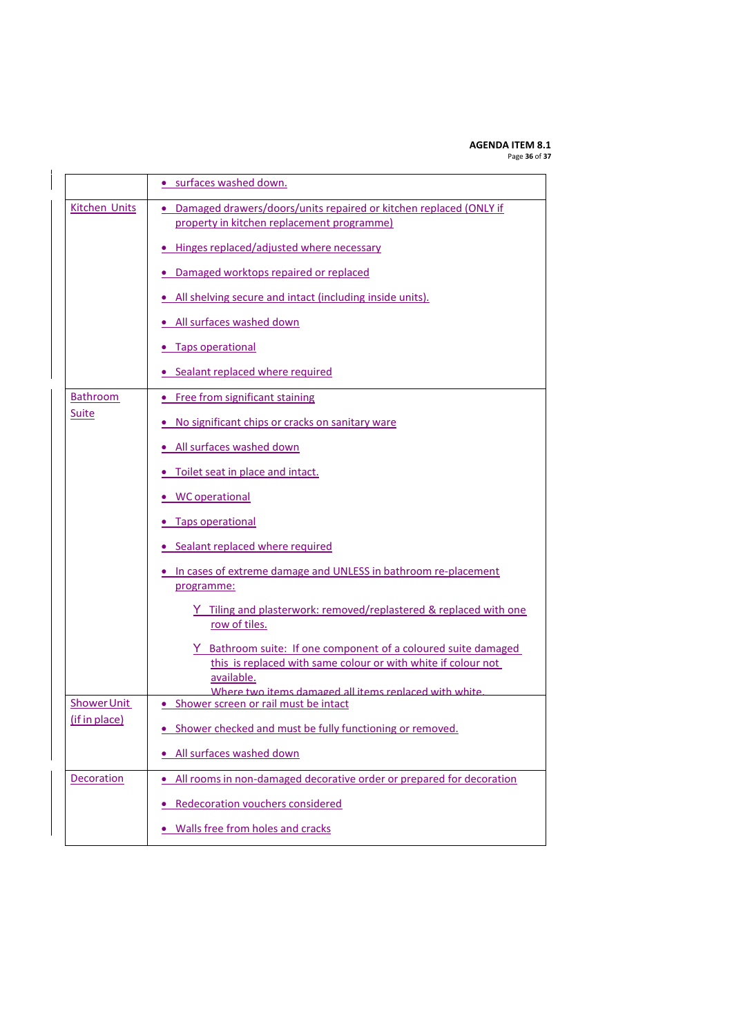# **AGENDA ITEM 8.1**

Page **36** of **37**

|                      | • surfaces washed down.                                                                                                                                                                                |
|----------------------|--------------------------------------------------------------------------------------------------------------------------------------------------------------------------------------------------------|
| <b>Kitchen Units</b> | • Damaged drawers/doors/units repaired or kitchen replaced (ONLY if<br>property in kitchen replacement programme)                                                                                      |
|                      | • Hinges replaced/adjusted where necessary                                                                                                                                                             |
|                      | • Damaged worktops repaired or replaced                                                                                                                                                                |
|                      | . All shelving secure and intact (including inside units).                                                                                                                                             |
|                      | • All surfaces washed down                                                                                                                                                                             |
|                      | • Taps operational                                                                                                                                                                                     |
|                      | • Sealant replaced where required                                                                                                                                                                      |
| Bathroom             | • Free from significant staining                                                                                                                                                                       |
| <b>Suite</b>         | • No significant chips or cracks on sanitary ware                                                                                                                                                      |
|                      | • All surfaces washed down                                                                                                                                                                             |
|                      | . Toilet seat in place and intact.                                                                                                                                                                     |
|                      | • WC operational                                                                                                                                                                                       |
|                      | • Taps operational                                                                                                                                                                                     |
|                      | • Sealant replaced where required                                                                                                                                                                      |
|                      | • In cases of extreme damage and UNLESS in bathroom re-placement<br>programme:                                                                                                                         |
|                      | Y Tiling and plasterwork: removed/replastered & replaced with one<br>row of tiles.                                                                                                                     |
|                      | Y Bathroom suite: If one component of a coloured suite damaged<br>this is replaced with same colour or with white if colour not<br>available.<br>Where two items damaged all items replaced with white |
| <b>Shower Unit</b>   | • Shower screen or rail must be intact                                                                                                                                                                 |
| (if in place)        | Shower checked and must be fully functioning or removed.                                                                                                                                               |
|                      | All surfaces washed down                                                                                                                                                                               |
| Decoration           | . All rooms in non-damaged decorative order or prepared for decoration                                                                                                                                 |
|                      | <b>Redecoration vouchers considered</b>                                                                                                                                                                |
|                      | Walls free from holes and cracks                                                                                                                                                                       |